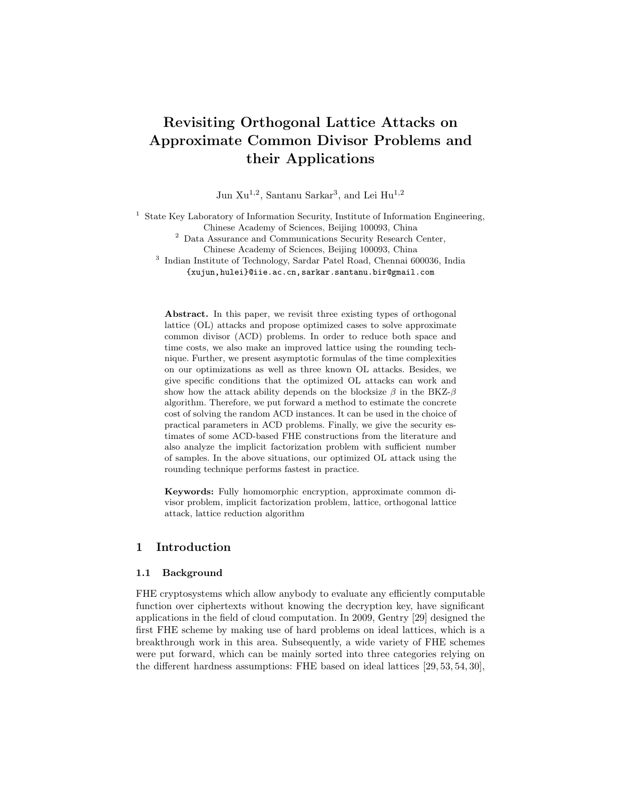# Revisiting Orthogonal Lattice Attacks on Approximate Common Divisor Problems and their Applications

Jun Xu<sup>1,2</sup>, Santanu Sarkar<sup>3</sup>, and Lei Hu<sup>1,2</sup>

<sup>1</sup> State Key Laboratory of Information Security, Institute of Information Engineering, Chinese Academy of Sciences, Beijing 100093, China

 $^{\rm 2}$  Data Assurance and Communications Security Research Center, Chinese Academy of Sciences, Beijing 100093, China

3 Indian Institute of Technology, Sardar Patel Road, Chennai 600036, India {xujun,hulei}@iie.ac.cn,sarkar.santanu.bir@gmail.com

Abstract. In this paper, we revisit three existing types of orthogonal lattice (OL) attacks and propose optimized cases to solve approximate common divisor (ACD) problems. In order to reduce both space and time costs, we also make an improved lattice using the rounding technique. Further, we present asymptotic formulas of the time complexities on our optimizations as well as three known OL attacks. Besides, we give specific conditions that the optimized OL attacks can work and show how the attack ability depends on the blocksize  $\beta$  in the BKZ- $\beta$ algorithm. Therefore, we put forward a method to estimate the concrete cost of solving the random ACD instances. It can be used in the choice of practical parameters in ACD problems. Finally, we give the security estimates of some ACD-based FHE constructions from the literature and also analyze the implicit factorization problem with sufficient number of samples. In the above situations, our optimized OL attack using the rounding technique performs fastest in practice.

Keywords: Fully homomorphic encryption, approximate common divisor problem, implicit factorization problem, lattice, orthogonal lattice attack, lattice reduction algorithm

# 1 Introduction

#### 1.1 Background

FHE cryptosystems which allow anybody to evaluate any efficiently computable function over ciphertexts without knowing the decryption key, have significant applications in the field of cloud computation. In 2009, Gentry [29] designed the first FHE scheme by making use of hard problems on ideal lattices, which is a breakthrough work in this area. Subsequently, a wide variety of FHE schemes were put forward, which can be mainly sorted into three categories relying on the different hardness assumptions: FHE based on ideal lattices [29, 53, 54, 30],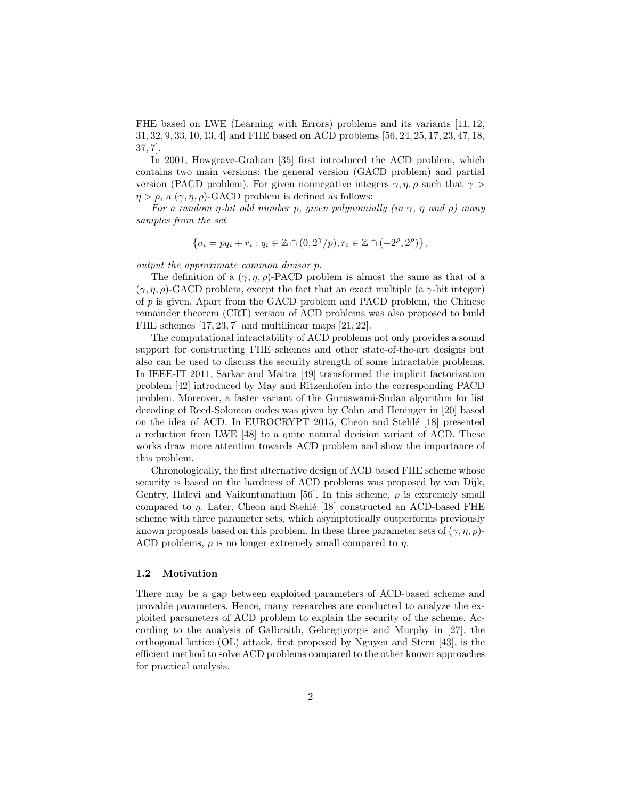FHE based on LWE (Learning with Errors) problems and its variants [11, 12, 31, 32, 9, 33, 10, 13, 4] and FHE based on ACD problems [56, 24, 25, 17, 23, 47, 18, 37, 7].

In 2001, Howgrave-Graham [35] first introduced the ACD problem, which contains two main versions: the general version (GACD problem) and partial version (PACD problem). For given nonnegative integers  $\gamma$ ,  $\eta$ ,  $\rho$  such that  $\gamma$  $\eta > \rho$ , a  $(\gamma, \eta, \rho)$ -GACD problem is defined as follows:

For a random *η-bit odd number p, given polynomially (in*  $\gamma$ *, η and ρ) many* samples from the set

$$
\{a_i = pq_i + r_i : q_i \in \mathbb{Z} \cap (0, 2^{\gamma}/p), r_i \in \mathbb{Z} \cap (-2^{\rho}, 2^{\rho})\},\
$$

output the approximate common divisor p.

The definition of a  $(\gamma, \eta, \rho)$ -PACD problem is almost the same as that of a  $(\gamma, \eta, \rho)$ -GACD problem, except the fact that an exact multiple (a  $\gamma$ -bit integer) of p is given. Apart from the GACD problem and PACD problem, the Chinese remainder theorem (CRT) version of ACD problems was also proposed to build FHE schemes [17, 23, 7] and multilinear maps [21, 22].

The computational intractability of ACD problems not only provides a sound support for constructing FHE schemes and other state-of-the-art designs but also can be used to discuss the security strength of some intractable problems. In IEEE-IT 2011, Sarkar and Maitra [49] transformed the implicit factorization problem [42] introduced by May and Ritzenhofen into the corresponding PACD problem. Moreover, a faster variant of the Guruswami-Sudan algorithm for list decoding of Reed-Solomon codes was given by Cohn and Heninger in [20] based on the idea of ACD. In EUROCRYPT 2015, Cheon and Stehlé [18] presented a reduction from LWE [48] to a quite natural decision variant of ACD. These works draw more attention towards ACD problem and show the importance of this problem.

Chronologically, the first alternative design of ACD based FHE scheme whose security is based on the hardness of ACD problems was proposed by van Dijk, Gentry, Halevi and Vaikuntanathan [56]. In this scheme,  $\rho$  is extremely small compared to  $\eta$ . Later, Cheon and Stehlé [18] constructed an ACD-based FHE scheme with three parameter sets, which asymptotically outperforms previously known proposals based on this problem. In these three parameter sets of  $(\gamma, \eta, \rho)$ -ACD problems,  $\rho$  is no longer extremely small compared to  $\eta$ .

#### 1.2 Motivation

There may be a gap between exploited parameters of ACD-based scheme and provable parameters. Hence, many researches are conducted to analyze the exploited parameters of ACD problem to explain the security of the scheme. According to the analysis of Galbraith, Gebregiyorgis and Murphy in [27], the orthogonal lattice (OL) attack, first proposed by Nguyen and Stern [43], is the efficient method to solve ACD problems compared to the other known approaches for practical analysis.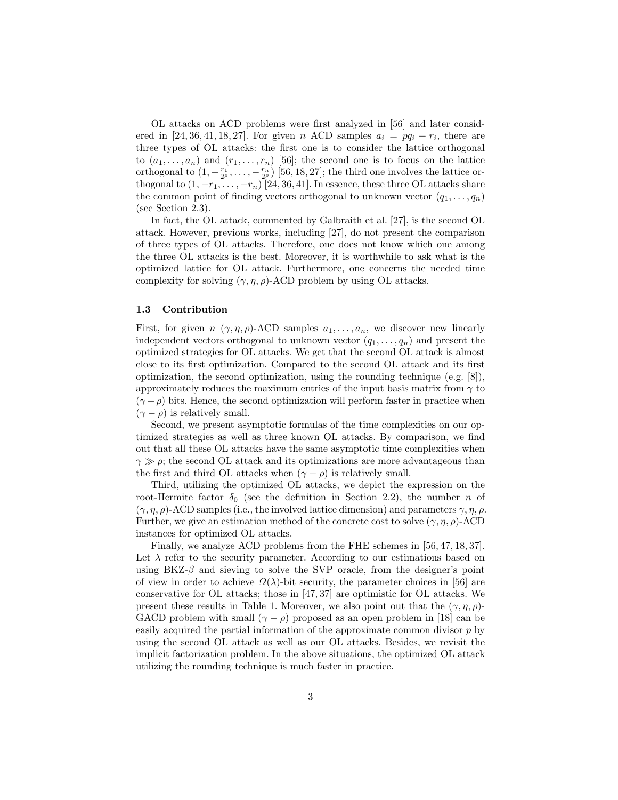OL attacks on ACD problems were first analyzed in [56] and later considered in [24, 36, 41, 18, 27]. For given n ACD samples  $a_i = pq_i + r_i$ , there are three types of OL attacks: the first one is to consider the lattice orthogonal to  $(a_1, \ldots, a_n)$  and  $(r_1, \ldots, r_n)$  [56]; the second one is to focus on the lattice orthogonal to  $(1, -\frac{r_1}{2^{\rho}}, \ldots, -\frac{r_n}{2^{\rho}})$  [56, 18, 27]; the third one involves the lattice orthogonal to  $(1, -r_1, \ldots, -r_n)$  [24, 36, 41]. In essence, these three OL attacks share the common point of finding vectors orthogonal to unknown vector  $(q_1, \ldots, q_n)$ (see Section 2.3).

In fact, the OL attack, commented by Galbraith et al. [27], is the second OL attack. However, previous works, including [27], do not present the comparison of three types of OL attacks. Therefore, one does not know which one among the three OL attacks is the best. Moreover, it is worthwhile to ask what is the optimized lattice for OL attack. Furthermore, one concerns the needed time complexity for solving  $(\gamma, \eta, \rho)$ -ACD problem by using OL attacks.

#### 1.3 Contribution

First, for given  $n (\gamma, \eta, \rho)$ -ACD samples  $a_1, \ldots, a_n$ , we discover new linearly independent vectors orthogonal to unknown vector  $(q_1, \ldots, q_n)$  and present the optimized strategies for OL attacks. We get that the second OL attack is almost close to its first optimization. Compared to the second OL attack and its first optimization, the second optimization, using the rounding technique (e.g. [8]), approximately reduces the maximum entries of the input basis matrix from  $\gamma$  to  $(\gamma - \rho)$  bits. Hence, the second optimization will perform faster in practice when  $(\gamma - \rho)$  is relatively small.

Second, we present asymptotic formulas of the time complexities on our optimized strategies as well as three known OL attacks. By comparison, we find out that all these OL attacks have the same asymptotic time complexities when  $\gamma \gg \rho$ ; the second OL attack and its optimizations are more advantageous than the first and third OL attacks when  $(\gamma - \rho)$  is relatively small.

Third, utilizing the optimized OL attacks, we depict the expression on the root-Hermite factor  $\delta_0$  (see the definition in Section 2.2), the number n of  $(\gamma, \eta, \rho)$ -ACD samples (i.e., the involved lattice dimension) and parameters  $\gamma, \eta, \rho$ . Further, we give an estimation method of the concrete cost to solve  $(\gamma, \eta, \rho)$ -ACD instances for optimized OL attacks.

Finally, we analyze ACD problems from the FHE schemes in [56, 47, 18, 37]. Let  $\lambda$  refer to the security parameter. According to our estimations based on using BKZ- $\beta$  and sieving to solve the SVP oracle, from the designer's point of view in order to achieve  $\Omega(\lambda)$ -bit security, the parameter choices in [56] are conservative for OL attacks; those in [47, 37] are optimistic for OL attacks. We present these results in Table 1. Moreover, we also point out that the  $(\gamma, \eta, \rho)$ -GACD problem with small  $(\gamma - \rho)$  proposed as an open problem in [18] can be easily acquired the partial information of the approximate common divisor  $p$  by using the second OL attack as well as our OL attacks. Besides, we revisit the implicit factorization problem. In the above situations, the optimized OL attack utilizing the rounding technique is much faster in practice.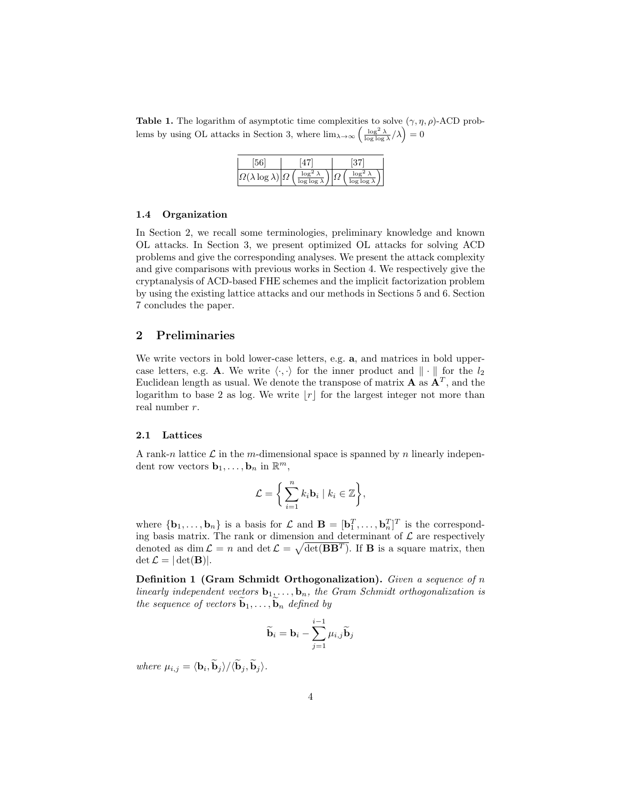**Table 1.** The logarithm of asymptotic time complexities to solve  $(\gamma, \eta, \rho)$ -ACD problems by using OL attacks in Section 3, where  $\lim_{\lambda\to\infty} \left( \frac{\log^2 \lambda}{\log \log \lambda} / \lambda \right) = 0$ 

| $\left \Omega(\lambda)\right $ | logʻ<br>$\log \log \lambda$ | $\log \log \lambda$ |
|--------------------------------|-----------------------------|---------------------|

#### 1.4 Organization

In Section 2, we recall some terminologies, preliminary knowledge and known OL attacks. In Section 3, we present optimized OL attacks for solving ACD problems and give the corresponding analyses. We present the attack complexity and give comparisons with previous works in Section 4. We respectively give the cryptanalysis of ACD-based FHE schemes and the implicit factorization problem by using the existing lattice attacks and our methods in Sections 5 and 6. Section 7 concludes the paper.

# 2 Preliminaries

We write vectors in bold lower-case letters, e.g. **a**, and matrices in bold uppercase letters, e.g. A. We write  $\langle \cdot, \cdot \rangle$  for the inner product and  $\|\cdot\|$  for the  $l_2$ Euclidean length as usual. We denote the transpose of matrix  $\mathbf{A}$  as  $\mathbf{A}^T$ , and the logarithm to base 2 as log. We write  $|r|$  for the largest integer not more than real number r.

#### 2.1 Lattices

A rank-n lattice  $\mathcal L$  in the m-dimensional space is spanned by n linearly independent row vectors  $\mathbf{b}_1, \ldots, \mathbf{b}_n$  in  $\mathbb{R}^m$ ,

$$
\mathcal{L} = \bigg\{\sum_{i=1}^n k_i \mathbf{b}_i \mid k_i \in \mathbb{Z}\bigg\},\
$$

where  ${\bf \{b_1,\ldots,b_n\}}$  is a basis for  $\mathcal{L}$  and  ${\bf B} = [{\bf b}_1^T,\ldots,{\bf b}_n^T]^T$  is the corresponding basis matrix. The rank or dimension and determinant of  $\mathcal L$  are respectively denoted as dim  $\mathcal{L} = n$  and det  $\mathcal{L} = \sqrt{\det(\mathbf{B}\mathbf{B}^T)}$ . If **B** is a square matrix, then  $\det \mathcal{L} = |\det(\mathbf{B})|.$ 

Definition 1 (Gram Schmidt Orthogonalization). Given a sequence of n linearly independent vectors  $\mathbf{b}_1, \ldots, \mathbf{b}_n$ , the Gram Schmidt orthogonalization is the sequence of vectors  $\widetilde{\mathbf{b}}_1, \ldots, \widetilde{\mathbf{b}}_n$  defined by

$$
\widetilde{\mathbf{b}}_i = \mathbf{b}_i - \sum_{j=1}^{i-1} \mu_{i,j} \widetilde{\mathbf{b}}_j
$$

where  $\mu_{i,j} = \langle \mathbf{b}_i, \mathbf{b}_j \rangle / \langle \mathbf{b}_j, \mathbf{b}_j \rangle$ .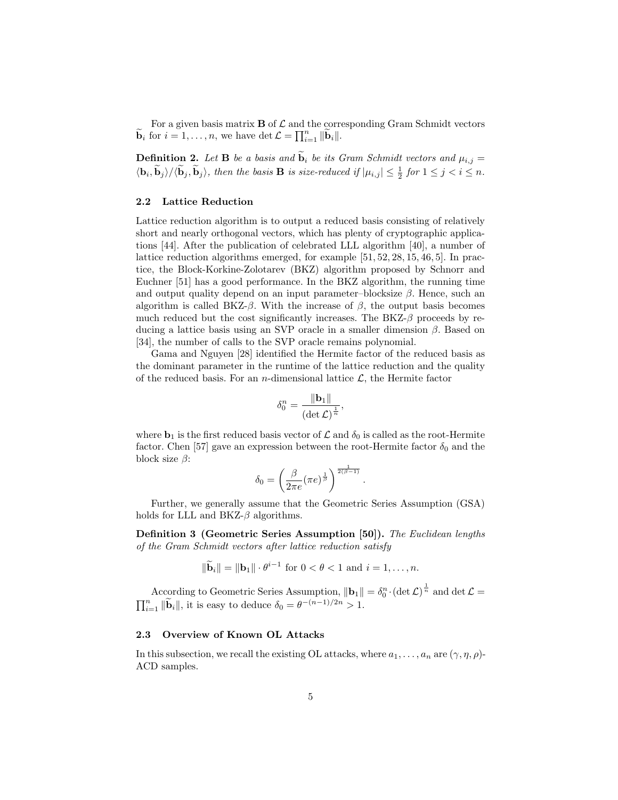For a given basis matrix  $\bf{B}$  of  $\mathcal L$  and the corresponding Gram Schmidt vectors  $\widetilde{\mathbf{b}}_i$  for  $i = 1, \ldots, n$ , we have  $\det \mathcal{L} = \prod_{i=1}^n ||\widetilde{\mathbf{b}}_i||$ .

**Definition 2.** Let **B** be a basis and  $\widetilde{\mathbf{b}}_i$  be its Gram Schmidt vectors and  $\mu_{i,j} =$  $\langle \mathbf{b}_i, \widetilde{\mathbf{b}}_j \rangle / \langle \widetilde{\mathbf{b}}_j, \widetilde{\mathbf{b}}_j \rangle$ , then the basis **B** is size-reduced if  $|\mu_{i,j}| \leq \frac{1}{2}$  for  $1 \leq j < i \leq n$ .

#### 2.2 Lattice Reduction

Lattice reduction algorithm is to output a reduced basis consisting of relatively short and nearly orthogonal vectors, which has plenty of cryptographic applications [44]. After the publication of celebrated LLL algorithm [40], a number of lattice reduction algorithms emerged, for example [51, 52, 28, 15, 46, 5]. In practice, the Block-Korkine-Zolotarev (BKZ) algorithm proposed by Schnorr and Euchner [51] has a good performance. In the BKZ algorithm, the running time and output quality depend on an input parameter–blocksize  $\beta$ . Hence, such an algorithm is called BKZ- $\beta$ . With the increase of  $\beta$ , the output basis becomes much reduced but the cost significantly increases. The  $BKZ-\beta$  proceeds by reducing a lattice basis using an SVP oracle in a smaller dimension  $\beta$ . Based on [34], the number of calls to the SVP oracle remains polynomial.

Gama and Nguyen [28] identified the Hermite factor of the reduced basis as the dominant parameter in the runtime of the lattice reduction and the quality of the reduced basis. For an *n*-dimensional lattice  $\mathcal{L}$ , the Hermite factor

$$
\delta_0^n = \frac{\|\mathbf{b}_1\|}{(\det \mathcal{L})^{\frac{1}{n}}},
$$

where  $\mathbf{b}_1$  is the first reduced basis vector of  $\mathcal L$  and  $\delta_0$  is called as the root-Hermite factor. Chen [57] gave an expression between the root-Hermite factor  $\delta_0$  and the block size  $\beta$ :

$$
\delta_0 = \left(\frac{\beta}{2\pi e} (\pi e)^{\frac{1}{\beta}}\right)^{\frac{1}{2(\beta-1)}}
$$

.

Further, we generally assume that the Geometric Series Assumption (GSA) holds for LLL and  $BKZ-\beta$  algorithms.

Definition 3 (Geometric Series Assumption [50]). The Euclidean lengths of the Gram Schmidt vectors after lattice reduction satisfy

$$
\|\widetilde{\mathbf{b}}_i\| = \|\mathbf{b}_1\| \cdot \theta^{i-1} \text{ for } 0 < \theta < 1 \text{ and } i = 1, \dots, n.
$$

According to Geometric Series Assumption,  $\|\mathbf{b}_1\| = \delta_0^n \cdot (\det \mathcal{L})^{\frac{1}{n}}$  and  $\det \mathcal{L} =$  $\prod_{i=1}^n \|\widetilde{\mathbf{b}}_i\|$ , it is easy to deduce  $\delta_0 = \theta^{-(n-1)/2n} > 1$ .

#### 2.3 Overview of Known OL Attacks

In this subsection, we recall the existing OL attacks, where  $a_1, \ldots, a_n$  are  $(\gamma, \eta, \rho)$ -ACD samples.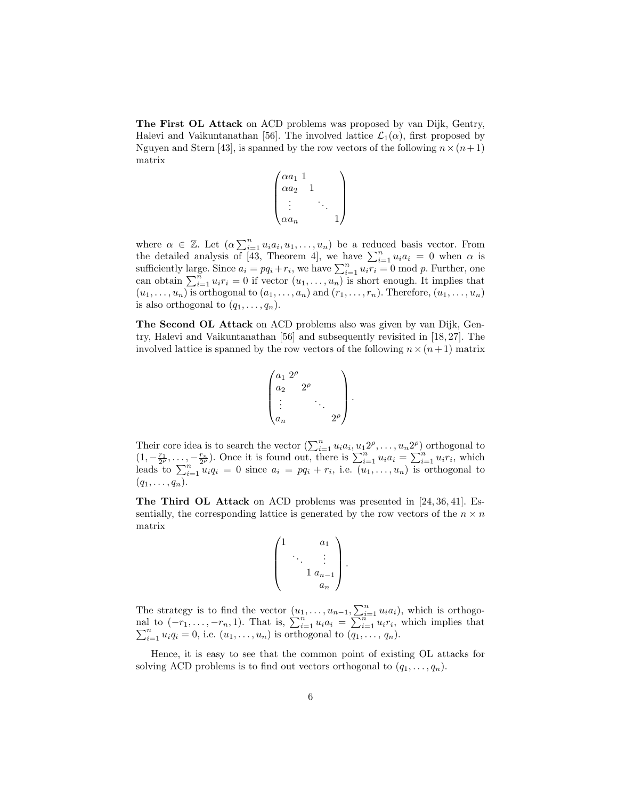The First OL Attack on ACD problems was proposed by van Dijk, Gentry, Halevi and Vaikuntanathan [56]. The involved lattice  $\mathcal{L}_1(\alpha)$ , first proposed by Nguyen and Stern [43], is spanned by the row vectors of the following  $n \times (n+1)$ matrix

$$
\begin{pmatrix} \alpha a_1 & 1 \\ \alpha a_2 & 1 \\ \vdots & \ddots & \vdots \\ \alpha a_n & & 1 \end{pmatrix}
$$

where  $\alpha \in \mathbb{Z}$ . Let  $(\alpha \sum_{i=1}^n u_i a_i, u_1, \ldots, u_n)$  be a reduced basis vector. From the detailed analysis of [43, Theorem 4], we have  $\sum_{i=1}^{n} u_i a_i = 0$  when  $\alpha$  is sufficiently large. Since  $a_i = pq_i + r_i$ , we have  $\sum_{i=1}^n u_i r_i = 0 \mod p$ . Further, one can obtain  $\sum_{i=1}^n u_i r_i = 0$  if vector  $(u_1, \ldots, u_n)$  is short enough. It implies that  $(u_1, \ldots, u_n)$  is orthogonal to  $(a_1, \ldots, a_n)$  and  $(r_1, \ldots, r_n)$ . Therefore,  $(u_1, \ldots, u_n)$ is also orthogonal to  $(q_1, \ldots, q_n)$ .

The Second OL Attack on ACD problems also was given by van Dijk, Gentry, Halevi and Vaikuntanathan [56] and subsequently revisited in [18, 27]. The involved lattice is spanned by the row vectors of the following  $n \times (n+1)$  matrix

$$
\begin{pmatrix} a_1 \ 2^{\rho} \\ a_2 \ \ 2^{\rho} \\ \vdots \\ a_n \end{pmatrix}
$$

.

Their core idea is to search the vector  $(\sum_{i=1}^n u_i a_i, u_1 2^{\rho}, \ldots, u_n 2^{\rho})$  orthogonal to  $(1, -\frac{r_1}{2^{\rho}}, \ldots, -\frac{r_n}{2^{\rho}})$ . Once it is found out, there is  $\sum_{i=1}^{n} u_i a_i = \sum_{i=1}^{n} u_i r_i$ , which leads to  $\sum_{i=1}^{n} u_i q_i = 0$  since  $a_i = pq_i + r_i$ , i.e.  $(u_1, \ldots, u_n)$  is orthogonal to  $(q_1,\ldots,q_n).$ 

The Third OL Attack on ACD problems was presented in [24, 36, 41]. Essentially, the corresponding lattice is generated by the row vectors of the  $n \times n$ matrix

$$
\begin{pmatrix} 1 & a_1 \\ \ddots & \vdots \\ & 1 \ a_{n-1} \\ & & a_n \end{pmatrix}.
$$

The strategy is to find the vector  $(u_1, \ldots, u_{n-1}, \sum_{i=1}^n u_i a_i)$ , which is orthogonal to  $(-r_1, \ldots, -r_n, 1)$ . That is,  $\sum_{i=1}^n u_i a_i = \sum_{i=1}^{n-1} u_i r_i$  $\sum$ 1 to  $(-r_1, \ldots, -r_n, 1)$ . That is,  $\sum_{i=1}^n u_i a_i = \sum_{i=1}^n u_i r_i$ , which implies that  $\sum_{i=1}^n u_i q_i = 0$ , i.e.  $(u_1, \ldots, u_n)$  is orthogonal to  $(q_1, \ldots, q_n)$ .

Hence, it is easy to see that the common point of existing OL attacks for solving ACD problems is to find out vectors orthogonal to  $(q_1, \ldots, q_n)$ .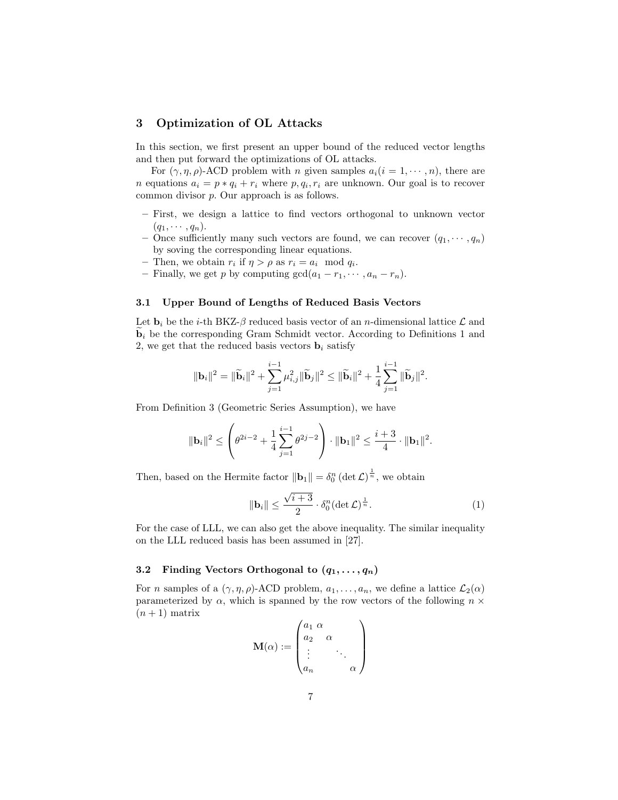# 3 Optimization of OL Attacks

In this section, we first present an upper bound of the reduced vector lengths and then put forward the optimizations of OL attacks.

For  $(\gamma, \eta, \rho)$ -ACD problem with *n* given samples  $a_i(i = 1, \dots, n)$ , there are *n* equations  $a_i = p * q_i + r_i$  where  $p, q_i, r_i$  are unknown. Our goal is to recover common divisor p. Our approach is as follows.

- First, we design a lattice to find vectors orthogonal to unknown vector  $(q_1, \cdots, q_n).$
- Once sufficiently many such vectors are found, we can recover  $(q_1, \dots, q_n)$ by soving the corresponding linear equations.
- Then, we obtain  $r_i$  if  $\eta > \rho$  as  $r_i = a_i \mod q_i$ .
- Finally, we get p by computing  $gcd(a_1 r_1, \dots, a_n r_n)$ .

#### 3.1 Upper Bound of Lengths of Reduced Basis Vectors

Let  $\mathbf{b}_i$  be the *i*-th BKZ- $\beta$  reduced basis vector of an *n*-dimensional lattice  $\mathcal{L}$  and  $\mathbf{b}_i$  be the corresponding Gram Schmidt vector. According to Definitions 1 and 2, we get that the reduced basis vectors  $\mathbf{b}_i$  satisfy

$$
\|\mathbf{b}_{i}\|^{2} = \|\widetilde{\mathbf{b}}_{i}\|^{2} + \sum_{j=1}^{i-1} \mu_{i,j}^{2} \|\widetilde{\mathbf{b}}_{j}\|^{2} \le \|\widetilde{\mathbf{b}}_{i}\|^{2} + \frac{1}{4} \sum_{j=1}^{i-1} \|\widetilde{\mathbf{b}}_{j}\|^{2}.
$$

From Definition 3 (Geometric Series Assumption), we have

$$
\|\mathbf{b}_{i}\|^{2} \leq \left(\theta^{2i-2} + \frac{1}{4}\sum_{j=1}^{i-1} \theta^{2j-2}\right) \cdot \|\mathbf{b}_{1}\|^{2} \leq \frac{i+3}{4} \cdot \|\mathbf{b}_{1}\|^{2}.
$$

Then, based on the Hermite factor  $\|\mathbf{b}_1\| = \delta_0^n (\det \mathcal{L})^{\frac{1}{n}}$ , we obtain

$$
\|\mathbf{b}_i\| \le \frac{\sqrt{i+3}}{2} \cdot \delta_0^n (\det \mathcal{L})^{\frac{1}{n}}.
$$
 (1)

For the case of LLL, we can also get the above inequality. The similar inequality on the LLL reduced basis has been assumed in [27].

#### 3.2 Finding Vectors Orthogonal to  $(q_1, \ldots, q_n)$

For *n* samples of a  $(\gamma, \eta, \rho)$ -ACD problem,  $a_1, \ldots, a_n$ , we define a lattice  $\mathcal{L}_2(\alpha)$ parameterized by  $\alpha$ , which is spanned by the row vectors of the following  $n \times$  $(n+1)$  matrix

$$
\mathbf{M}(\alpha) := \begin{pmatrix} a_1 & \alpha & & \\ a_2 & \alpha & & \\ \vdots & & \ddots & \\ a_n & & & \alpha \end{pmatrix}
$$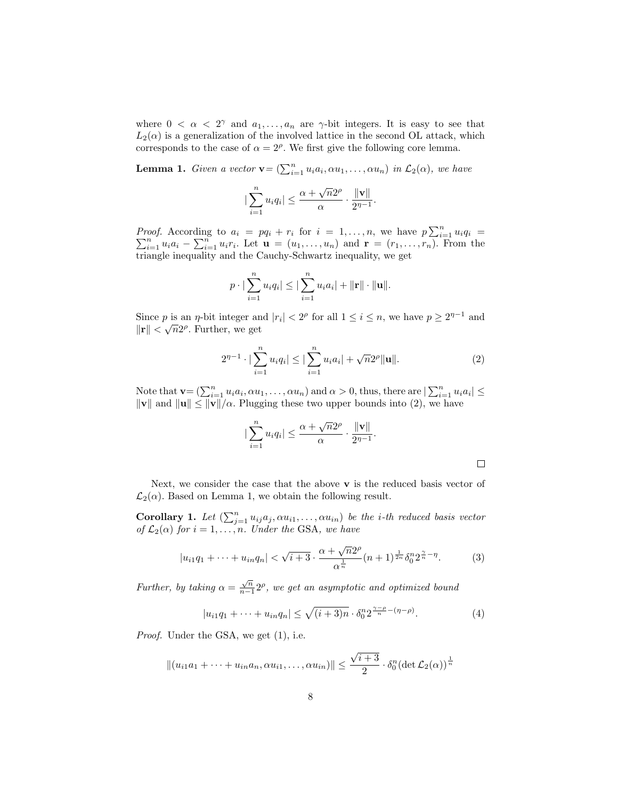where  $0 < \alpha < 2^{\gamma}$  and  $a_1, \ldots, a_n$  are  $\gamma$ -bit integers. It is easy to see that  $L_2(\alpha)$  is a generalization of the involved lattice in the second OL attack, which corresponds to the case of  $\alpha = 2^{\rho}$ . We first give the following core lemma.

**Lemma 1.** Given a vector  $\mathbf{v} = (\sum_{i=1}^n u_i a_i, \alpha u_1, \dots, \alpha u_n)$  in  $\mathcal{L}_2(\alpha)$ , we have

$$
|\sum_{i=1}^n u_i q_i| \le \frac{\alpha + \sqrt{n}2^{\rho}}{\alpha} \cdot \frac{\|\mathbf{v}\|}{2^{\eta-1}}.
$$

*Proof.* According to  $a_i = pq_i + r_i$  for  $i = 1, ..., n$ , we have  $p \sum_{i=1}^{n} \sum_{i=1}^{n} u_i a_i - \sum_{i=1}^{n} u_i r_i$ . Let  $\mathbf{u} = (u_1, ..., u_n)$  and  $\mathbf{r} = (r_1, ..., r_n)$ . Fr *oof.* According to  $a_i = pq_i + r_i$  for  $i = 1, ..., n$ , we have  $p \sum_{i=1}^{n} u_i q_i =$ <br> $\sum_{i=1}^{n} u_i a_i - \sum_{i=1}^{n} u_i r_i$ . Let  $\mathbf{u} = (u_1, ..., u_n)$  and  $\mathbf{r} = (r_1, ..., r_n)$ . From the triangle inequality and the Cauchy-Schwartz inequality, we get

$$
p \cdot |\sum_{i=1}^n u_i q_i| \leq |\sum_{i=1}^n u_i a_i| + ||\mathbf{r}|| \cdot ||\mathbf{u}||.
$$

Since p is an  $\eta$ -bit integer and  $|r_i| < 2^{\rho}$  for all  $1 \le i \le n$ , we have  $p \ge 2^{\eta-1}$  and  $\|\mathbf{r}\| < \sqrt{n} 2^{\rho}$ . Further, we get

$$
2^{\eta-1} \cdot |\sum_{i=1}^{n} u_i q_i| \leq |\sum_{i=1}^{n} u_i a_i| + \sqrt{n} 2^{\rho} ||\mathbf{u}||. \tag{2}
$$

Note that  $\mathbf{v} = (\sum_{i=1}^n u_i a_i, \alpha u_1, \dots, \alpha u_n)$  and  $\alpha > 0$ , thus, there are  $|\sum_{i=1}^n u_i a_i| \leq$  $\|\mathbf{v}\|$  and  $\|\mathbf{u}\| \leq \|\mathbf{v}\|/\alpha$ . Plugging these two upper bounds into (2), we have

$$
|\sum_{i=1}^n u_i q_i| \le \frac{\alpha + \sqrt{n}2^{\rho}}{\alpha} \cdot \frac{\|\mathbf{v}\|}{2^{\eta-1}}.
$$

Next, we consider the case that the above  $\bf{v}$  is the reduced basis vector of  $\mathcal{L}_2(\alpha)$ . Based on Lemma 1, we obtain the following result.

**Corollary 1.** Let  $\left(\sum_{j=1}^n u_{ij}a_j, \alpha u_{i1}, \ldots, \alpha u_{in}\right)$  be the *i*-th reduced basis vector of  $\mathcal{L}_2(\alpha)$  for  $i = 1, \ldots, n$ . Under the GSA, we have

$$
|u_{i1}q_1 + \dots + u_{in}q_n| < \sqrt{i+3} \cdot \frac{\alpha + \sqrt{n}2^{\rho}}{\alpha^{\frac{1}{n}}} (n+1)^{\frac{1}{2n}} \delta_0^n 2^{\frac{\gamma}{n}-\eta}.
$$
 (3)

Further, by taking  $\alpha = \frac{\sqrt{n}}{n-1}$  $\frac{\sqrt{n}}{n-1}2^{\rho}$ , we get an asymptotic and optimized bound

$$
|u_{i1}q_1 + \dots + u_{in}q_n| \le \sqrt{(i+3)n} \cdot \delta_0^n 2^{\frac{\gamma-\rho}{n} - (\eta-\rho)}.
$$
 (4)

Proof. Under the GSA, we get (1), i.e.

$$
||(u_{i1}a_1 + \cdots + u_{in}a_n, \alpha u_{i1}, \ldots, \alpha u_{in})|| \leq \frac{\sqrt{i+3}}{2} \cdot \delta_0^n (\det \mathcal{L}_2(\alpha))^{\frac{1}{n}}
$$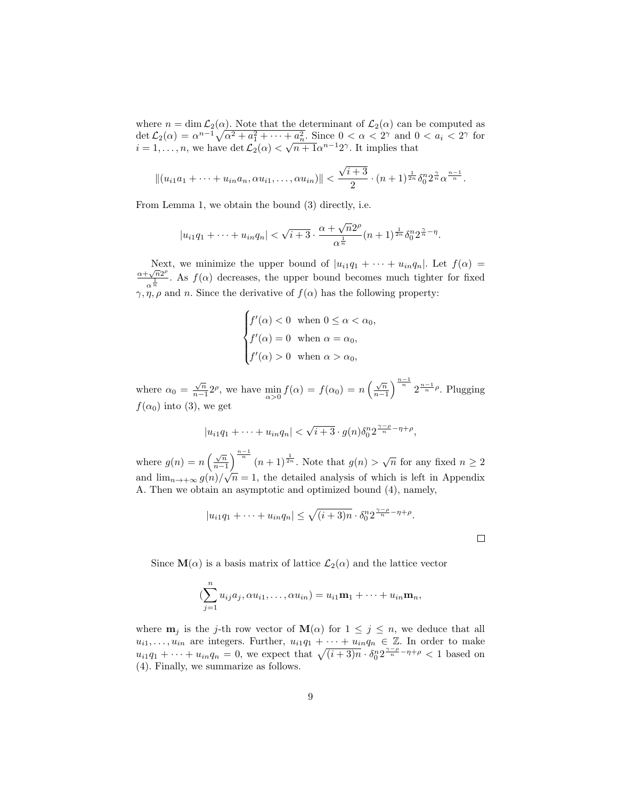where  $n = \dim \mathcal{L}_2(\alpha)$ . Note that the determinant of  $\mathcal{L}_2(\alpha)$  can be computed as det  $\mathcal{L}_2(\alpha) = \alpha^{n-1} \sqrt{\alpha^2 + a_1^2 + \cdots + a_n^2}$ . Since  $0 < \alpha < 2^{\gamma}$  and  $0 < a_i < 2^{\gamma}$  for  $i = 1, \ldots, n$ , we have  $\det \mathcal{L}_2(\alpha) < \sqrt{n+1} \alpha^{n-1} 2^{\gamma}$ . It implies that

$$
||(u_{i1}a_1+\cdots+u_{in}a_n,\alpha u_{i1},\ldots,\alpha u_{in})|| < \frac{\sqrt{i+3}}{2}\cdot (n+1)^{\frac{1}{2n}}\delta_0^n 2^{\frac{\gamma}{n}}\alpha^{\frac{n-1}{n}}.
$$

From Lemma 1, we obtain the bound (3) directly, i.e.

$$
|u_{i1}q_1 + \dots + u_{in}q_n| < \sqrt{i+3} \cdot \frac{\alpha + \sqrt{n}2^{\rho}}{\alpha^{\frac{1}{n}}} (n+1)^{\frac{1}{2n}} \delta_0^n 2^{\frac{\gamma}{n}-\eta}.
$$

Next, we minimize the upper bound of  $|u_{i1}q_1 + \cdots + u_{in}q_n|$ . Let  $f(\alpha) =$  $\alpha+\sqrt{n}2^{\rho}$  $\frac{1}{\alpha^{\frac{1}{n}}}$ . As  $f(\alpha)$  decreases, the upper bound becomes much tighter for fixed  $\gamma, \eta, \rho$  and n. Since the derivative of  $f(\alpha)$  has the following property:

$$
\begin{cases}\nf'(\alpha) < 0 \text{ when } 0 \leq \alpha < \alpha_0, \\
f'(\alpha) = 0 \text{ when } \alpha = \alpha_0, \\
f'(\alpha) > 0 \text{ when } \alpha > \alpha_0,\n\end{cases}
$$

where  $\alpha_0 = \frac{\sqrt{n}}{n-1}$  $\frac{\sqrt{n}}{n-1}2^{\rho}$ , we have  $\min_{\alpha>0} f(\alpha) = f(\alpha_0) = n\left(\frac{\sqrt{n}}{n-1}\right)$  $\frac{\sqrt{n}}{n-1}$   $\left\{\frac{n-1}{n} \cdot 2^{\frac{n-1}{n}}\right\}$ . Plugging  $f(\alpha_0)$  into (3), we get

$$
|u_{i1}q_1 + \cdots + u_{in}q_n| < \sqrt{i+3} \cdot g(n)\delta_0^n 2^{\frac{\gamma-\rho}{n}-\eta+\rho},
$$

where  $g(n) = n \left( \frac{\sqrt{n}}{n-1} \right)$  $\frac{\sqrt{n}}{n-1}$   $\frac{n-1}{n}$   $(n+1)^{\frac{1}{2n}}$ . Note that  $g(n) > \sqrt{n}$  for any fixed  $n \geq 2$ and  $\lim_{n\to+\infty} g(n)/\sqrt{n} = 1$ , the detailed analysis of which is left in Appendix √ A. Then we obtain an asymptotic and optimized bound (4), namely,

$$
|u_{i1}q_1 + \cdots + u_{in}q_n| \leq \sqrt{(i+3)n} \cdot \delta_0^n 2^{\frac{\gamma-\rho}{n}-\eta+\rho}.
$$

 $\Box$ 

Since  $\mathbf{M}(\alpha)$  is a basis matrix of lattice  $\mathcal{L}_2(\alpha)$  and the lattice vector

$$
(\sum_{j=1}^n u_{ij}a_j, \alpha u_{i1}, \dots, \alpha u_{in}) = u_{i1}\mathbf{m}_1 + \dots + u_{in}\mathbf{m}_n,
$$

where  $m_j$  is the j-th row vector of  $M(\alpha)$  for  $1 \leq j \leq n$ , we deduce that all  $u_{i1}, \ldots, u_{in}$  are integers. Further,  $u_{i1}q_1 + \cdots + u_{in}q_n \in \mathbb{Z}$ . In order to make  $u_{i1}q_1 + \cdots + u_{in}q_n = 0$ , we expect that  $\sqrt{(i+3)n} \cdot \delta_0^n 2^{\frac{\gamma-\rho}{n}-\eta+\rho} < 1$  based on (4). Finally, we summarize as follows.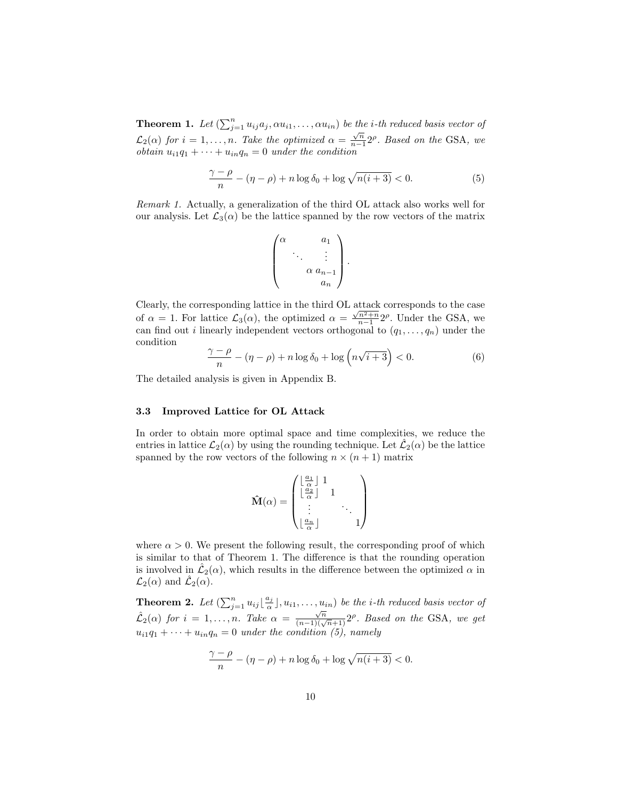**Theorem 1.** Let  $(\sum_{j=1}^n u_{ij}a_j, \alpha u_{i1}, \dots, \alpha u_{in})$  be the *i*-th reduced basis vector of  $\mathcal{L}_2(\alpha)$  for  $i=1,\ldots,n$ . Take the optimized  $\alpha=\frac{\sqrt{n}}{n-1}$  $\frac{\sqrt{n}}{n-1}$ 2<sup> $\rho$ </sup>. Based on the GSA, we *obtain*  $u_{i1}q_1 + \cdots + u_{in}q_n = 0$  *under the condition* 

$$
\frac{\gamma - \rho}{n} - (\eta - \rho) + n \log \delta_0 + \log \sqrt{n(i+3)} < 0. \tag{5}
$$

Remark 1. Actually, a generalization of the third OL attack also works well for our analysis. Let  $\mathcal{L}_3(\alpha)$  be the lattice spanned by the row vectors of the matrix

$$
\begin{pmatrix} \alpha & a_1 \\ \ddots & \vdots \\ \alpha a_{n-1} \\ a_n \end{pmatrix}.
$$

Clearly, the corresponding lattice in the third OL attack corresponds to the case of  $\alpha = 1$ . For lattice  $\mathcal{L}_3(\alpha)$ , the optimized  $\alpha = \frac{\sqrt{n^2+n}}{n-1} 2^{\rho}$ . Under the GSA, we can find out *i* linearly independent vectors orthogonal to  $(q_1, \ldots, q_n)$  under the condition

$$
\frac{\gamma - \rho}{n} - (\eta - \rho) + n \log \delta_0 + \log \left( n \sqrt{i + 3} \right) < 0. \tag{6}
$$

The detailed analysis is given in Appendix B.

#### 3.3 Improved Lattice for OL Attack

In order to obtain more optimal space and time complexities, we reduce the entries in lattice  $\mathcal{L}_2(\alpha)$  by using the rounding technique. Let  $\mathcal{L}_2(\alpha)$  be the lattice spanned by the row vectors of the following  $n \times (n + 1)$  matrix

$$
\hat{\mathbf{M}}(\alpha) = \begin{pmatrix} \lfloor \frac{\alpha_1}{\alpha} \rfloor & 1 & & \\ \lfloor \frac{\alpha_2}{\alpha} \rfloor & 1 & & \\ \vdots & & \ddots & \\ \lfloor \frac{\alpha_n}{\alpha} \rfloor & & & 1 \end{pmatrix}
$$

where  $\alpha > 0$ . We present the following result, the corresponding proof of which is similar to that of Theorem 1. The difference is that the rounding operation is involved in  $\hat{\mathcal{L}}_2(\alpha)$ , which results in the difference between the optimized  $\alpha$  in  $\mathcal{L}_2(\alpha)$  and  $\hat{\mathcal{L}}_2(\alpha)$ .

**Theorem 2.** Let  $(\sum_{j=1}^n u_{ij} \lfloor \frac{a_j}{\alpha} \rfloor, u_{i1}, \ldots, u_{in})$  be the *i*-th reduced basis vector of  $\hat{\mathcal{L}}_2(\alpha)$  for  $i = 1, \ldots, n$ . Take  $\alpha = \frac{\sqrt{n}}{(n-1)(\sqrt{n}+1)} 2^{\rho}$ . Based on the GSA, we get  $u_{i1}q_1 + \cdots + u_{in}q_n = 0$  under the condition (5), namely

$$
\frac{\gamma - \rho}{n} - (\eta - \rho) + n \log \delta_0 + \log \sqrt{n(i+3)} < 0.
$$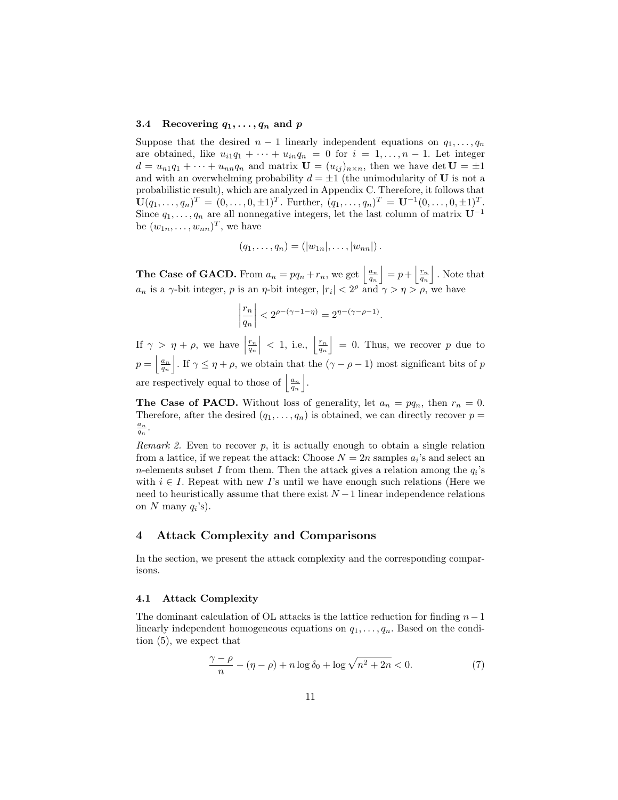#### 3.4 Recovering  $q_1, \ldots, q_n$  and p

Suppose that the desired  $n-1$  linearly independent equations on  $q_1, \ldots, q_n$ are obtained, like  $u_{i1}q_1 + \cdots + u_{in}q_n = 0$  for  $i = 1, \ldots, n - 1$ . Let integer  $d = u_{n1}q_1 + \cdots + u_{nn}q_n$  and matrix  $\mathbf{U} = (u_{ij})_{n \times n}$ , then we have det  $\mathbf{U} = \pm 1$ and with an overwhelming probability  $d = \pm 1$  (the unimodularity of U is not a probabilistic result), which are analyzed in Appendix C. Therefore, it follows that  $\mathbf{U}(q_1,\ldots,q_n)^T = (0,\ldots,0,\pm 1)^T$ . Further,  $(q_1,\ldots,q_n)^T = \mathbf{U}^{-1}(0,\ldots,0,\pm 1)^T$ . Since  $q_1, \ldots, q_n$  are all nonnegative integers, let the last column of matrix  $\mathbf{U}^{-1}$ be  $(w_{1n}, \ldots, w_{nn})^T$ , we have

$$
(q_1,\ldots,q_n)=(|w_{1n}|,\ldots,|w_{nn}|).
$$

**The Case of GACD.** From  $a_n = pq_n + r_n$ , we get  $\left|\frac{a_n}{q_n}\right| = p + \left|\frac{r_n}{q_n}\right|$ . Note that  $a_n$  is a  $\gamma$ -bit integer, p is an  $\eta$ -bit integer,  $|r_i| < 2^{\rho}$  and  $\gamma > \eta > \rho$ , we have

$$
\left|\frac{r_n}{q_n}\right| < 2^{\rho - (\gamma - 1 - \eta)} = 2^{\eta - (\gamma - \rho - 1)}.
$$

If  $\gamma > \eta + \rho$ , we have  $\left| \frac{r_n}{q_n} \right|$  < 1, i.e.,  $\left[ \frac{r_n}{q_n} \right] = 0$ . Thus, we recover p due to  $p = \left|\frac{a_n}{q_n}\right|$ . If  $\gamma \leq \eta + \rho$ , we obtain that the  $(\gamma - \rho - 1)$  most significant bits of p are respectively equal to those of  $\left| \frac{a_n}{q_n} \right|$ .

**The Case of PACD.** Without loss of generality, let  $a_n = pq_n$ , then  $r_n = 0$ . Therefore, after the desired  $(q_1, \ldots, q_n)$  is obtained, we can directly recover  $p =$  $\frac{a_n}{q_n}$ .

*Remark 2.* Even to recover  $p$ , it is actually enough to obtain a single relation from a lattice, if we repeat the attack: Choose  $N = 2n$  samples  $a_i$ 's and select an *n*-elements subset I from them. Then the attack gives a relation among the  $q_i$ 's with  $i \in I$ . Repeat with new I's until we have enough such relations (Here we need to heuristically assume that there exist  $N-1$  linear independence relations on N many  $q_i$ 's).

### 4 Attack Complexity and Comparisons

In the section, we present the attack complexity and the corresponding comparisons.

#### 4.1 Attack Complexity

The dominant calculation of OL attacks is the lattice reduction for finding  $n-1$ linearly independent homogeneous equations on  $q_1, \ldots, q_n$ . Based on the condition (5), we expect that

$$
\frac{\gamma - \rho}{n} - (\eta - \rho) + n \log \delta_0 + \log \sqrt{n^2 + 2n} < 0. \tag{7}
$$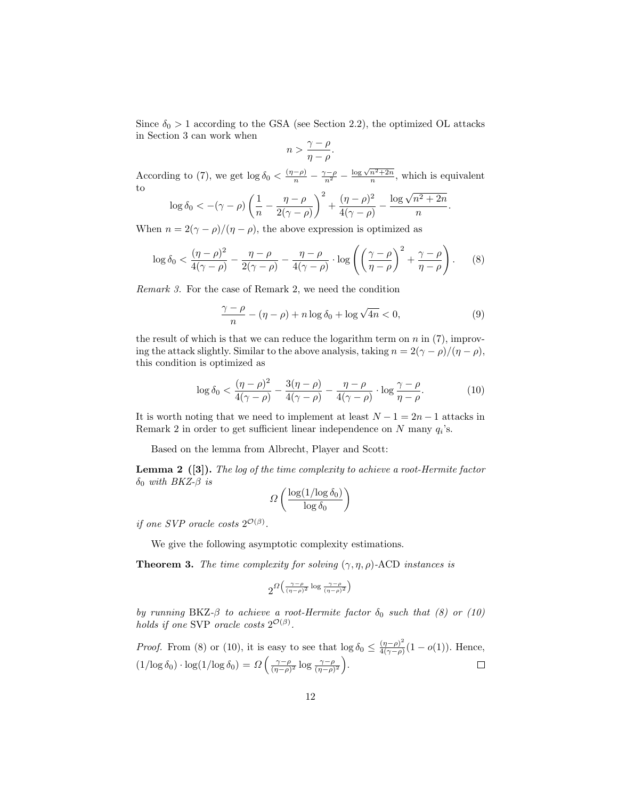Since  $\delta_0 > 1$  according to the GSA (see Section 2.2), the optimized OL attacks in Section 3 can work when

$$
n > \frac{\gamma - \rho}{\eta - \rho}.
$$

According to (7), we get  $\log \delta_0 < \frac{(n-\rho)}{n} - \frac{\gamma-\rho}{n^2} - \frac{\log \sqrt{n^2+2n}}{n}$ , which is equivalent to

$$
\log \delta_0 < -(\gamma - \rho)\left(\frac{1}{n} - \frac{\eta - \rho}{2(\gamma - \rho)}\right)^2 + \frac{(\eta - \rho)^2}{4(\gamma - \rho)} - \frac{\log \sqrt{n^2 + 2n}}{n}
$$

When  $n = 2(\gamma - \rho)/(\eta - \rho)$ , the above expression is optimized as

$$
\log \delta_0 < \frac{(\eta - \rho)^2}{4(\gamma - \rho)} - \frac{\eta - \rho}{2(\gamma - \rho)} - \frac{\eta - \rho}{4(\gamma - \rho)} \cdot \log \left( \left( \frac{\gamma - \rho}{\eta - \rho} \right)^2 + \frac{\gamma - \rho}{\eta - \rho} \right). \tag{8}
$$

Remark 3. For the case of Remark 2, we need the condition

$$
\frac{\gamma - \rho}{n} - (\eta - \rho) + n \log \delta_0 + \log \sqrt{4n} < 0,\tag{9}
$$

.

the result of which is that we can reduce the logarithm term on  $n$  in  $(7)$ , improving the attack slightly. Similar to the above analysis, taking  $n = 2(\gamma - \rho)/(\eta - \rho)$ , this condition is optimized as

$$
\log \delta_0 < \frac{(\eta - \rho)^2}{4(\gamma - \rho)} - \frac{3(\eta - \rho)}{4(\gamma - \rho)} - \frac{\eta - \rho}{4(\gamma - \rho)} \cdot \log \frac{\gamma - \rho}{\eta - \rho}.\tag{10}
$$

It is worth noting that we need to implement at least  $N - 1 = 2n - 1$  attacks in Remark 2 in order to get sufficient linear independence on  $N$  many  $q_i$ 's.

Based on the lemma from Albrecht, Player and Scott:

**Lemma 2** ([3]). The log of the time complexity to achieve a root-Hermite factor δ<sub>0</sub> with BKZ- $β$  is

$$
\Omega\left(\frac{\log(1/\log\delta_0)}{\log\delta_0}\right)
$$

if one SVP oracle costs  $2^{\mathcal{O}(\beta)}$ .

We give the following asymptotic complexity estimations.

**Theorem 3.** The time complexity for solving  $(\gamma, \eta, \rho)$ -ACD instances is

$$
2^{\Omega\big(\frac{\gamma-\rho}{(\eta-\rho)^2}\log\frac{\gamma-\rho}{(\eta-\rho)^2}\big)}
$$

by running BKZ- $\beta$  to achieve a root-Hermite factor  $\delta_0$  such that (8) or (10) holds if one SVP oracle costs  $2^{\mathcal{O}(\beta)}$ .

*Proof.* From (8) or (10), it is easy to see that  $\log \delta_0 \leq \frac{(\eta - \rho)^2}{4(\gamma - \rho)}$  $\frac{(n-\rho)^2}{4(\gamma-\rho)}(1-o(1)).$  Hence,  $(1/\log \delta_0) \cdot \log(1/\log \delta_0) = \Omega \left( \frac{\gamma - \rho}{(\eta - \rho)^2} \log \frac{\gamma - \rho}{(\eta - \rho)^2} \right).$  $\Box$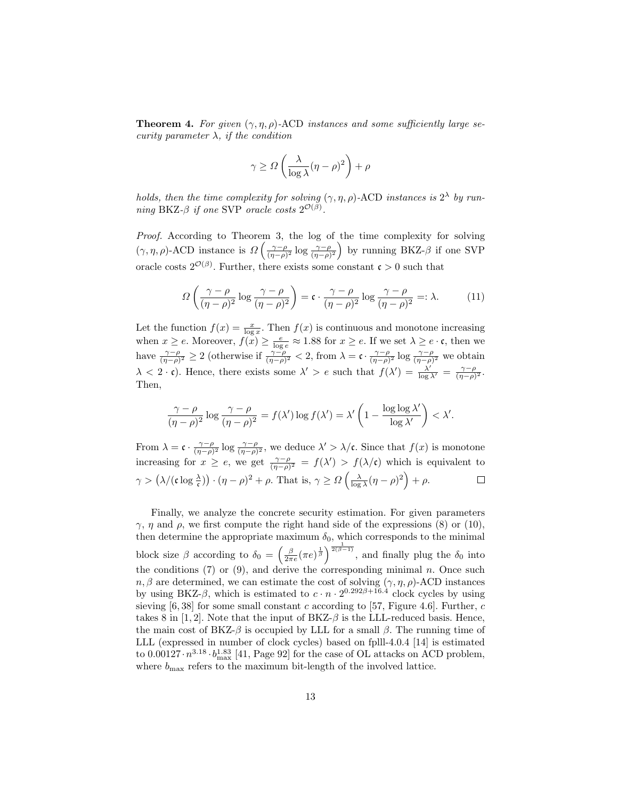**Theorem 4.** For given  $(\gamma, \eta, \rho)$ -ACD instances and some sufficiently large security parameter  $\lambda$ , if the condition

$$
\gamma \ge \Omega \left( \frac{\lambda}{\log \lambda} (\eta - \rho)^2 \right) + \rho
$$

holds, then the time complexity for solving  $(\gamma, \eta, \rho)$ -ACD instances is  $2^{\lambda}$  by running BKZ- $\beta$  if one SVP oracle costs  $2^{\mathcal{O}(\beta)}$ .

Proof. According to Theorem 3, the log of the time complexity for solving  $(\gamma, \eta, \rho)$ -ACD instance is  $\Omega\left(\frac{\gamma-\rho}{(\eta-\rho)^2}\log\frac{\gamma-\rho}{(\eta-\rho)^2}\right)$  by running BKZ- $\beta$  if one SVP oracle costs  $2^{\mathcal{O}(\beta)}$ . Further, there exists some constant  $\mathfrak{c} > 0$  such that

$$
\Omega\left(\frac{\gamma-\rho}{(\eta-\rho)^2}\log\frac{\gamma-\rho}{(\eta-\rho)^2}\right) = \mathfrak{c} \cdot \frac{\gamma-\rho}{(\eta-\rho)^2}\log\frac{\gamma-\rho}{(\eta-\rho)^2} =: \lambda. \tag{11}
$$

Let the function  $f(x) = \frac{x}{\log x}$ . Then  $f(x)$  is continuous and monotone increasing when  $x \ge e$ . Moreover,  $f(x) \ge \frac{e}{\log e} \approx 1.88$  for  $x \ge e$ . If we set  $\lambda \ge e \cdot \mathfrak{c}$ , then we have  $\frac{\gamma-\rho}{(\eta-\rho)^2} \geq 2$  (otherwise if  $\frac{\gamma-\rho}{(\eta-\rho)^2} < 2$ , from  $\lambda = \mathfrak{c} \cdot \frac{\gamma-\rho}{(\eta-\rho)^2} \log \frac{\gamma-\rho}{(\eta-\rho)^2}$  we obtain  $\lambda < 2 \cdot \mathfrak{c}$ ). Hence, there exists some  $\lambda' > e$  such that  $f(\lambda') = \frac{\lambda'}{\log \lambda'} = \frac{\gamma - \rho}{(\eta - \rho)^2}$ . Then,

$$
\frac{\gamma - \rho}{(\eta - \rho)^2} \log \frac{\gamma - \rho}{(\eta - \rho)^2} = f(\lambda') \log f(\lambda') = \lambda' \left(1 - \frac{\log \log \lambda'}{\log \lambda'}\right) < \lambda'.
$$

From  $\lambda = \mathfrak{c} \cdot \frac{\gamma - \rho}{(\eta - \rho)^2} \log \frac{\gamma - \rho}{(\eta - \rho)^2}$ , we deduce  $\lambda' > \lambda/\mathfrak{c}$ . Since that  $f(x)$  is monotone increasing for  $x \geq e$ , we get  $\frac{\gamma-\rho}{(\eta-\rho)^2} = f(\lambda') > f(\lambda/\mathfrak{c})$  which is equivalent to  $\gamma > (\lambda/(\mathfrak{c}\log\frac{\lambda}{\mathfrak{c}})) \cdot (\eta - \rho)^2 + \rho.$  That is,  $\gamma \ge \Omega\left(\frac{\lambda}{\log\lambda}(\eta - \rho)^2\right) + \rho.$  $\Box$ 

Finally, we analyze the concrete security estimation. For given parameters  $\gamma$ ,  $\eta$  and  $\rho$ , we first compute the right hand side of the expressions (8) or (10), then determine the appropriate maximum  $\delta_0$ , which corresponds to the minimal block size  $\beta$  according to  $\delta_0 = \left(\frac{\beta}{2\pi e}(\pi e)^{\frac{1}{\beta}}\right)^{\frac{1}{2(\beta-1)}},$  and finally plug the  $\delta_0$  into the conditions  $(7)$  or  $(9)$ , and derive the corresponding minimal n. Once such  $n, \beta$  are determined, we can estimate the cost of solving  $(\gamma, \eta, \rho)$ -ACD instances by using BKZ- $\beta$ , which is estimated to  $c \cdot n \cdot 2^{0.292\beta + 16.4}$  clock cycles by using sieving  $[6, 38]$  for some small constant c according to  $[57,$  Figure 4.6]. Further, c takes 8 in [1, 2]. Note that the input of  $BKZ-\beta$  is the LLL-reduced basis. Hence, the main cost of BKZ- $\beta$  is occupied by LLL for a small  $\beta$ . The running time of LLL (expressed in number of clock cycles) based on fplll-4.0.4 [14] is estimated to  $0.00127 \cdot n^{3.18} \cdot b_{\text{max}}^{1.83}$  [41, Page 92] for the case of OL attacks on ACD problem, where  $b_{\text{max}}$  refers to the maximum bit-length of the involved lattice.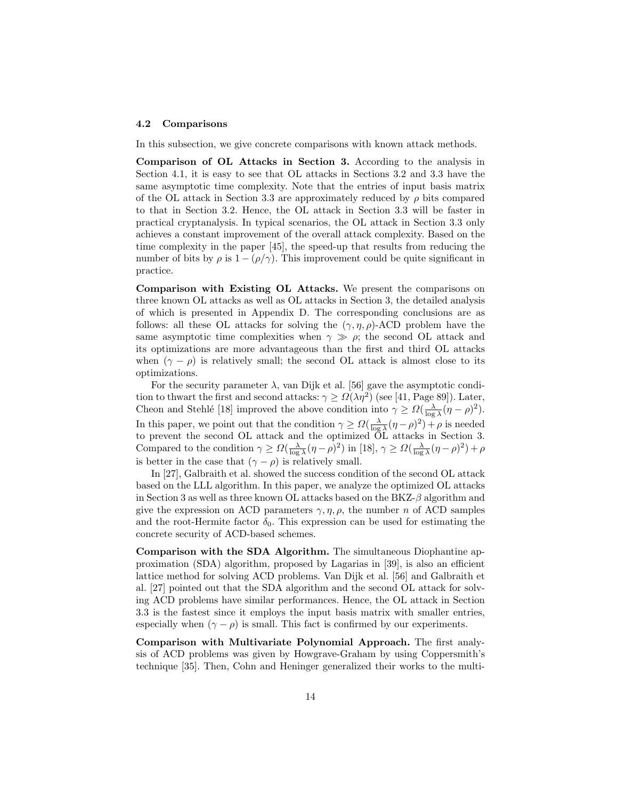#### 4.2 Comparisons

In this subsection, we give concrete comparisons with known attack methods.

Comparison of OL Attacks in Section 3. According to the analysis in Section 4.1, it is easy to see that OL attacks in Sections 3.2 and 3.3 have the same asymptotic time complexity. Note that the entries of input basis matrix of the OL attack in Section 3.3 are approximately reduced by  $\rho$  bits compared to that in Section 3.2. Hence, the OL attack in Section 3.3 will be faster in practical cryptanalysis. In typical scenarios, the OL attack in Section 3.3 only achieves a constant improvement of the overall attack complexity. Based on the time complexity in the paper [45], the speed-up that results from reducing the number of bits by  $\rho$  is  $1 - (\rho/\gamma)$ . This improvement could be quite significant in practice.

Comparison with Existing OL Attacks. We present the comparisons on three known OL attacks as well as OL attacks in Section 3, the detailed analysis of which is presented in Appendix D. The corresponding conclusions are as follows: all these OL attacks for solving the  $(\gamma, \eta, \rho)$ -ACD problem have the same asymptotic time complexities when  $\gamma \gg \rho$ ; the second OL attack and its optimizations are more advantageous than the first and third OL attacks when  $(\gamma - \rho)$  is relatively small; the second OL attack is almost close to its optimizations.

For the security parameter  $\lambda$ , van Dijk et al. [56] gave the asymptotic condition to thwart the first and second attacks:  $\gamma \ge \Omega(\lambda \eta^2)$  (see [41, Page 89]). Later, Cheon and Stehlé [18] improved the above condition into  $\gamma \ge \Omega(\frac{\lambda}{\log \lambda}(\eta - \rho)^2)$ . In this paper, we point out that the condition  $\gamma \ge \Omega(\frac{\lambda}{\log \lambda}(\eta - \rho)^2) + \rho$  is needed to prevent the second OL attack and the optimized OL attacks in Section 3. Compared to the condition  $\gamma \ge \Omega(\frac{\lambda}{\log \lambda}(\eta - \rho)^2)$  in [18],  $\gamma \ge \Omega(\frac{\lambda}{\log \lambda}(\eta - \rho)^2) + \rho$ is better in the case that  $(\gamma - \rho)$  is relatively small.

In [27], Galbraith et al. showed the success condition of the second OL attack based on the LLL algorithm. In this paper, we analyze the optimized OL attacks in Section 3 as well as three known OL attacks based on the  $BKZ-\beta$  algorithm and give the expression on ACD parameters  $\gamma$ ,  $\eta$ ,  $\rho$ , the number n of ACD samples and the root-Hermite factor  $\delta_0$ . This expression can be used for estimating the concrete security of ACD-based schemes.

Comparison with the SDA Algorithm. The simultaneous Diophantine approximation (SDA) algorithm, proposed by Lagarias in [39], is also an efficient lattice method for solving ACD problems. Van Dijk et al. [56] and Galbraith et al. [27] pointed out that the SDA algorithm and the second OL attack for solving ACD problems have similar performances. Hence, the OL attack in Section 3.3 is the fastest since it employs the input basis matrix with smaller entries, especially when  $(\gamma - \rho)$  is small. This fact is confirmed by our experiments.

Comparison with Multivariate Polynomial Approach. The first analysis of ACD problems was given by Howgrave-Graham by using Coppersmith's technique [35]. Then, Cohn and Heninger generalized their works to the multi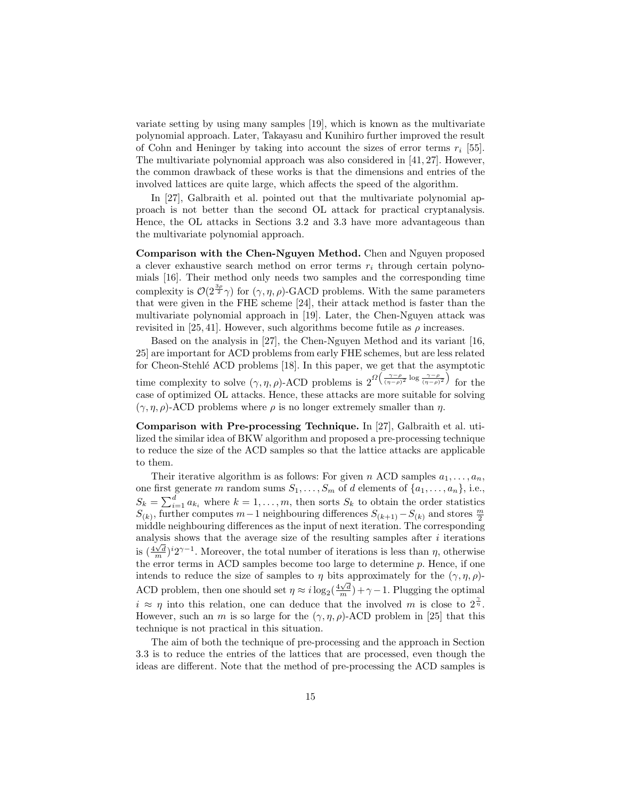variate setting by using many samples [19], which is known as the multivariate polynomial approach. Later, Takayasu and Kunihiro further improved the result of Cohn and Heninger by taking into account the sizes of error terms  $r_i$  [55]. The multivariate polynomial approach was also considered in [41, 27]. However, the common drawback of these works is that the dimensions and entries of the involved lattices are quite large, which affects the speed of the algorithm.

In [27], Galbraith et al. pointed out that the multivariate polynomial approach is not better than the second OL attack for practical cryptanalysis. Hence, the OL attacks in Sections 3.2 and 3.3 have more advantageous than the multivariate polynomial approach.

Comparison with the Chen-Nguyen Method. Chen and Nguyen proposed a clever exhaustive search method on error terms  $r_i$  through certain polynomials [16]. Their method only needs two samples and the corresponding time complexity is  $\mathcal{O}(2^{\frac{3\rho}{2}}\gamma)$  for  $(\gamma, \eta, \rho)$ -GACD problems. With the same parameters that were given in the FHE scheme [24], their attack method is faster than the multivariate polynomial approach in [19]. Later, the Chen-Nguyen attack was revisited in [25, 41]. However, such algorithms become futile as  $\rho$  increases.

Based on the analysis in [27], the Chen-Nguyen Method and its variant [16, 25] are important for ACD problems from early FHE schemes, but are less related for Cheon-Stehl´e ACD problems [18]. In this paper, we get that the asymptotic time complexity to solve  $(\gamma, \eta, \rho)$ -ACD problems is  $2^{\Omega\left(\frac{\gamma-\rho}{(\eta-\rho)^2}\log\frac{\gamma-\rho}{(\eta-\rho)^2}\right)}$  for the case of optimized OL attacks. Hence, these attacks are more suitable for solving  $(\gamma, \eta, \rho)$ -ACD problems where  $\rho$  is no longer extremely smaller than  $\eta$ .

Comparison with Pre-processing Technique. In [27], Galbraith et al. utilized the similar idea of BKW algorithm and proposed a pre-processing technique to reduce the size of the ACD samples so that the lattice attacks are applicable to them.

Their iterative algorithm is as follows: For given n ACD samples  $a_1, \ldots, a_n$ , one first generate m random sums  $S_1, \ldots, S_m$  of d elements of  $\{a_1, \ldots, a_n\}$ , i.e.,  $S_k = \sum_{i=1}^d a_{k_i}$  where  $k = 1, \ldots, m$ , then sorts  $S_k$  to obtain the order statistics  $S_{(k)}$ , further computes  $m-1$  neighbouring differences  $S_{(k+1)} - S_{(k)}$  and stores  $\frac{m}{2}$ middle neighbouring differences as the input of next iteration. The corresponding analysis shows that the average size of the resulting samples after  $i$  iterations did  $\frac{4\sqrt{d}}{m}$  is  $\frac{4\sqrt{d}}{m}$ . Moreover, the total number of iterations is less than  $\eta$ , otherwise the error terms in ACD samples become too large to determine p. Hence, if one intends to reduce the size of samples to  $\eta$  bits approximately for the  $(\gamma, \eta, \rho)$ -ACD problem, then one should set  $\eta \approx i \log_2(\frac{4\sqrt{d}}{m}) + \gamma - 1$ . Plugging the optimal  $i \approx \eta$  into this relation, one can deduce that the involved m is close to  $2^{\frac{\gamma}{\eta}}$ . However, such an m is so large for the  $(\gamma, \eta, \rho)$ -ACD problem in [25] that this technique is not practical in this situation.

The aim of both the technique of pre-processing and the approach in Section 3.3 is to reduce the entries of the lattices that are processed, even though the ideas are different. Note that the method of pre-processing the ACD samples is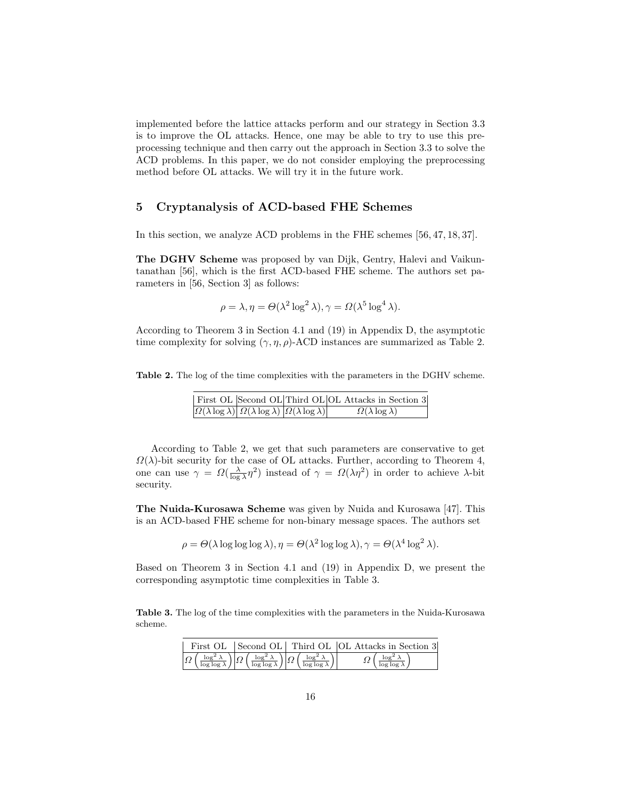implemented before the lattice attacks perform and our strategy in Section 3.3 is to improve the OL attacks. Hence, one may be able to try to use this preprocessing technique and then carry out the approach in Section 3.3 to solve the ACD problems. In this paper, we do not consider employing the preprocessing method before OL attacks. We will try it in the future work.

## 5 Cryptanalysis of ACD-based FHE Schemes

In this section, we analyze ACD problems in the FHE schemes [56, 47, 18, 37].

The DGHV Scheme was proposed by van Dijk, Gentry, Halevi and Vaikuntanathan [56], which is the first ACD-based FHE scheme. The authors set parameters in [56, Section 3] as follows:

$$
\rho = \lambda, \eta = \Theta(\lambda^2 \log^2 \lambda), \gamma = \Omega(\lambda^5 \log^4 \lambda).
$$

According to Theorem 3 in Section 4.1 and (19) in Appendix D, the asymptotic time complexity for solving  $(\gamma, \eta, \rho)$ -ACD instances are summarized as Table 2.

Table 2. The log of the time complexities with the parameters in the DGHV scheme.

|                                                                                              | First OL Second OL Third OL OL Attacks in Section 3 |
|----------------------------------------------------------------------------------------------|-----------------------------------------------------|
| $\Omega(\lambda \log \lambda)$ $\Omega(\lambda \log \lambda)$ $\Omega(\lambda \log \lambda)$ | $\Omega(\lambda \log \lambda)$                      |

According to Table 2, we get that such parameters are conservative to get  $\Omega(\lambda)$ -bit security for the case of OL attacks. Further, according to Theorem 4, one can use  $\gamma = \Omega(\frac{\lambda}{\log \lambda}n^2)$  instead of  $\gamma = \Omega(\lambda n^2)$  in order to achieve λ-bit security.

The Nuida-Kurosawa Scheme was given by Nuida and Kurosawa [47]. This is an ACD-based FHE scheme for non-binary message spaces. The authors set

$$
\rho = \Theta(\lambda \log \log \log \lambda), \eta = \Theta(\lambda^2 \log \log \lambda), \gamma = \Theta(\lambda^4 \log^2 \lambda).
$$

Based on Theorem 3 in Section 4.1 and (19) in Appendix D, we present the corresponding asymptotic time complexities in Table 3.

Table 3. The log of the time complexities with the parameters in the Nuida-Kurosawa scheme.

|  |  |                                                                                                                                                                                                                                        |  | First OL Second OL Third OL OL Attacks in Section 3 |                                                  |  |
|--|--|----------------------------------------------------------------------------------------------------------------------------------------------------------------------------------------------------------------------------------------|--|-----------------------------------------------------|--------------------------------------------------|--|
|  |  | $\left \overline{\Omega\left(\frac{\log^2\lambda}{\log\log\lambda}\right)}\right \overline{\Omega\left(\frac{\log^2\lambda}{\log\log\lambda}\right)}\right \overline{\Omega\left(\frac{\log^2\lambda}{\log\log\lambda}\right)}\right $ |  |                                                     | $\Omega$ $\log^2 \lambda$<br>$\log \log \lambda$ |  |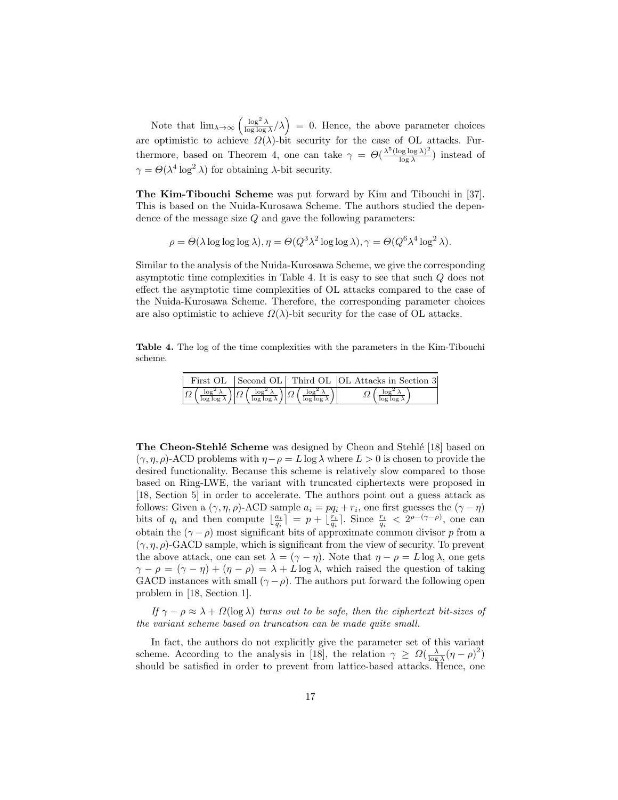Note that  $\lim_{\lambda \to \infty} \left( \frac{\log^2 \lambda}{\log \log \lambda} / \lambda \right) = 0$ . Hence, the above parameter choices are optimistic to achieve  $\Omega(\lambda)$ -bit security for the case of OL attacks. Furthermore, based on Theorem 4, one can take  $\gamma = \Theta(\frac{\lambda^5 (\log \log \lambda)^2}{\log \lambda})$  $\frac{\log \log \lambda}{\log \lambda}$ ) instead of  $\gamma = \Theta(\lambda^4 \log^2 \lambda)$  for obtaining  $\lambda$ -bit security.

The Kim-Tibouchi Scheme was put forward by Kim and Tibouchi in [37]. This is based on the Nuida-Kurosawa Scheme. The authors studied the dependence of the message size Q and gave the following parameters:

$$
\rho = \Theta(\lambda \log \log \log \lambda), \eta = \Theta(Q^3 \lambda^2 \log \log \lambda), \gamma = \Theta(Q^6 \lambda^4 \log^2 \lambda).
$$

Similar to the analysis of the Nuida-Kurosawa Scheme, we give the corresponding asymptotic time complexities in Table 4. It is easy to see that such Q does not effect the asymptotic time complexities of OL attacks compared to the case of the Nuida-Kurosawa Scheme. Therefore, the corresponding parameter choices are also optimistic to achieve  $\Omega(\lambda)$ -bit security for the case of OL attacks.

Table 4. The log of the time complexities with the parameters in the Kim-Tibouchi scheme.

|  |                                                                                                                                                                                                                                        | First OL Second OL Third OL OL Attacks in Section 3 |
|--|----------------------------------------------------------------------------------------------------------------------------------------------------------------------------------------------------------------------------------------|-----------------------------------------------------|
|  | $\left \overline{\Omega\left(\frac{\log^2\lambda}{\log\log\lambda}\right)}\right \overline{\Omega\left(\frac{\log^2\lambda}{\log\log\lambda}\right)}\right \overline{\Omega\left(\frac{\log^2\lambda}{\log\log\lambda}\right)}\right $ | $\log^2 \lambda$                                    |

**The Cheon-Stehlé Scheme** was designed by Cheon and Stehlé [18] based on  $(\gamma, \eta, \rho)$ -ACD problems with  $\eta - \rho = L \log \lambda$  where  $L > 0$  is chosen to provide the desired functionality. Because this scheme is relatively slow compared to those based on Ring-LWE, the variant with truncated ciphertexts were proposed in [18, Section 5] in order to accelerate. The authors point out a guess attack as follows: Given a  $(\gamma, \eta, \rho)$ -ACD sample  $a_i = pq_i + r_i$ , one first guesses the  $(\gamma - \eta)$ bits of  $q_i$  and then compute  $\lfloor \frac{a_i}{q_i} \rfloor = p + \lfloor \frac{r_i}{q_i} \rfloor$ . Since  $\frac{r_i}{q_i} < 2^{\rho - (\gamma - \rho)}$ , one can obtain the  $(\gamma - \rho)$  most significant bits of approximate common divisor p from a  $(\gamma, \eta, \rho)$ -GACD sample, which is significant from the view of security. To prevent the above attack, one can set  $\lambda = (\gamma - \eta)$ . Note that  $\eta - \rho = L \log \lambda$ , one gets  $\gamma - \rho = (\gamma - \eta) + (\eta - \rho) = \lambda + L \log \lambda$ , which raised the question of taking GACD instances with small  $(\gamma - \rho)$ . The authors put forward the following open problem in [18, Section 1].

If  $\gamma - \rho \approx \lambda + \Omega(\log \lambda)$  turns out to be safe, then the ciphertext bit-sizes of the variant scheme based on truncation can be made quite small.

In fact, the authors do not explicitly give the parameter set of this variant scheme. According to the analysis in [18], the relation  $\gamma \geq \Omega(\frac{\lambda}{\log \lambda}(\eta - \rho)^2)$ should be satisfied in order to prevent from lattice-based attacks. Hence, one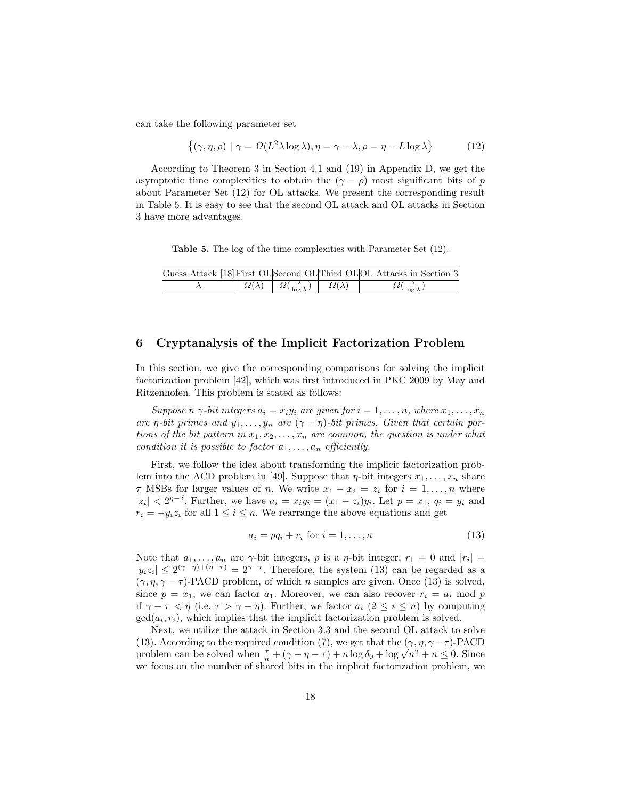can take the following parameter set

$$
\{(\gamma, \eta, \rho) \mid \gamma = \Omega(L^2 \lambda \log \lambda), \eta = \gamma - \lambda, \rho = \eta - L \log \lambda\}
$$
 (12)

According to Theorem 3 in Section 4.1 and (19) in Appendix D, we get the asymptotic time complexities to obtain the  $(\gamma - \rho)$  most significant bits of p about Parameter Set (12) for OL attacks. We present the corresponding result in Table 5. It is easy to see that the second OL attack and OL attacks in Section 3 have more advantages.

Table 5. The log of the time complexities with Parameter Set (12).

|  |                                                                                         | Guess Attack [18] First OL Second OL Third OL OL Attacks in Section 3 |
|--|-----------------------------------------------------------------------------------------|-----------------------------------------------------------------------|
|  | $\Omega(\lambda)$ $\left  \Omega(\frac{\lambda}{\log \lambda}) \right  \Omega(\lambda)$ |                                                                       |

## 6 Cryptanalysis of the Implicit Factorization Problem

In this section, we give the corresponding comparisons for solving the implicit factorization problem [42], which was first introduced in PKC 2009 by May and Ritzenhofen. This problem is stated as follows:

Suppose n  $\gamma$ -bit integers  $a_i = x_i y_i$  are given for  $i = 1, \ldots, n$ , where  $x_1, \ldots, x_n$ are  $\eta$ -bit primes and  $y_1, \ldots, y_n$  are  $(\gamma - \eta)$ -bit primes. Given that certain portions of the bit pattern in  $x_1, x_2, \ldots, x_n$  are common, the question is under what condition it is possible to factor  $a_1, \ldots, a_n$  efficiently.

First, we follow the idea about transforming the implicit factorization problem into the ACD problem in [49]. Suppose that  $\eta$ -bit integers  $x_1, \ldots, x_n$  share  $\tau$  MSBs for larger values of *n*. We write  $x_1 - x_i = z_i$  for  $i = 1, ..., n$  where  $|z_i| < 2^{\eta-\delta}$ . Further, we have  $a_i = x_i y_i = (x_1 - z_i)y_i$ . Let  $p = x_1, q_i = y_i$  and  $r_i = -y_i z_i$  for all  $1 \leq i \leq n$ . We rearrange the above equations and get

$$
a_i = pq_i + r_i \text{ for } i = 1, \dots, n \tag{13}
$$

Note that  $a_1, \ldots, a_n$  are  $\gamma$ -bit integers, p is a  $\eta$ -bit integer,  $r_1 = 0$  and  $|r_i|$  $|y_iz_i| \leq 2^{(\gamma - \eta) + (\eta - \tau)} = 2^{\gamma - \tau}$ . Therefore, the system (13) can be regarded as a  $(\gamma, \eta, \gamma - \tau)$ -PACD problem, of which *n* samples are given. Once (13) is solved, since  $p = x_1$ , we can factor  $a_1$ . Moreover, we can also recover  $r_i = a_i \mod p$ if  $\gamma - \tau < \eta$  (i.e.  $\tau > \gamma - \eta$ ). Further, we factor  $a_i$  ( $2 \le i \le n$ ) by computing  $gcd(a_i, r_i)$ , which implies that the implicit factorization problem is solved.

Next, we utilize the attack in Section 3.3 and the second OL attack to solve (13). According to the required condition (7), we get that the  $(\gamma, \eta, \gamma - \tau)$ -PACD (13). According to the required condition (*i*), we get that the  $(\gamma, \eta, \gamma - \tau)$ -PACD problem can be solved when  $\frac{\tau}{n} + (\gamma - \eta - \tau) + n \log \delta_0 + \log \sqrt{n^2 + n} \leq 0$ . Since we focus on the number of shared bits in the implicit factorization problem, we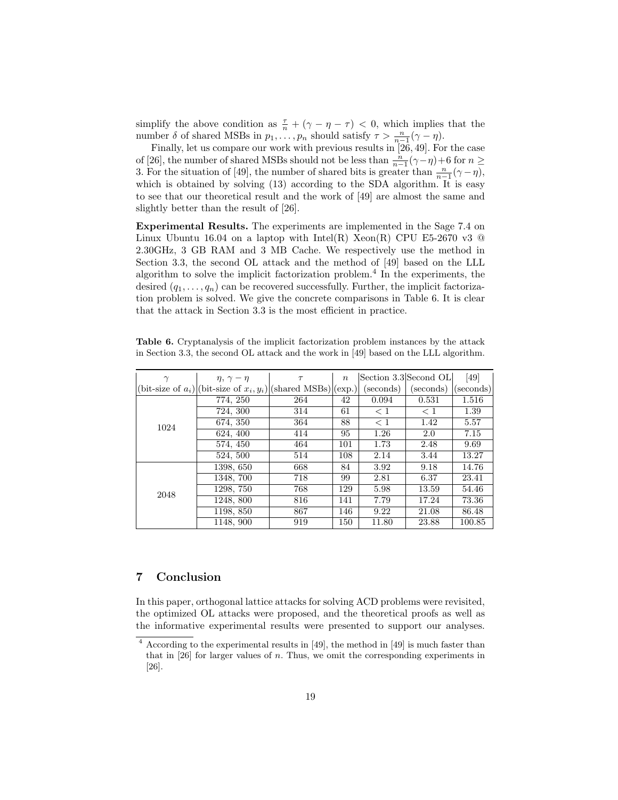simplify the above condition as  $\frac{\tau}{n} + (\gamma - \eta - \tau) < 0$ , which implies that the number  $\delta$  of shared MSBs in  $p_1, \ldots, p_n$  should satisfy  $\tau > \frac{n}{n-1}(\gamma - \eta)$ .

Finally, let us compare our work with previous results in [26, 49]. For the case of [26], the number of shared MSBs should not be less than  $\frac{n}{n-1}(\gamma - \eta) + 6$  for  $n \ge$ 3. For the situation of [49], the number of shared bits is greater than  $\frac{n}{n-1}(\gamma - \eta)$ , which is obtained by solving  $(13)$  according to the SDA algorithm. It is easy to see that our theoretical result and the work of [49] are almost the same and slightly better than the result of [26].

Experimental Results. The experiments are implemented in the Sage 7.4 on Linux Ubuntu 16.04 on a laptop with Intel(R) Xeon(R) CPU E5-2670 v3  $\circledcirc$ 2.30GHz, 3 GB RAM and 3 MB Cache. We respectively use the method in Section 3.3, the second OL attack and the method of [49] based on the LLL algorithm to solve the implicit factorization problem.<sup>4</sup> In the experiments, the desired  $(q_1, \ldots, q_n)$  can be recovered successfully. Further, the implicit factorization problem is solved. We give the concrete comparisons in Table 6. It is clear that the attack in Section 3.3 is the most efficient in practice.

Table 6. Cryptanalysis of the implicit factorization problem instances by the attack in Section 3.3, the second OL attack and the work in [49] based on the LLL algorithm.

| $\gamma$ | $\eta, \gamma - \eta$                                               | $\tau$ | $\boldsymbol{n}$ |          | Section 3.3 Second OL | [49]      |
|----------|---------------------------------------------------------------------|--------|------------------|----------|-----------------------|-----------|
|          | (bit-size of $a_i$ ) (bit-size of $x_i, y_i$ ) (shared MSBs) (exp.) |        |                  | seconds) | (seconds)             | (seconds) |
|          | 774, 250                                                            | 264    | 42               | 0.094    | 0.531                 | 1.516     |
|          | 724, 300                                                            | 314    | 61               | $\leq 1$ | < 1                   | 1.39      |
| 1024     | 674, 350                                                            | 364    | 88               | < 1      | 1.42                  | 5.57      |
|          | 624, 400                                                            | 414    | 95               | 1.26     | 2.0                   | 7.15      |
|          | 574, 450                                                            | 464    | 101              | 1.73     | 2.48                  | 9.69      |
|          | 524, 500                                                            | 514    | 108              | 2.14     | 3.44                  | 13.27     |
|          | 1398, 650                                                           | 668    | 84               | 3.92     | 9.18                  | 14.76     |
|          | 1348, 700                                                           | 718    | 99               | 2.81     | 6.37                  | 23.41     |
| 2048     | 1298, 750                                                           | 768    | 129              | 5.98     | 13.59                 | 54.46     |
|          | 1248, 800                                                           | 816    | 141              | 7.79     | 17.24                 | 73.36     |
|          | 1198, 850                                                           | 867    | 146              | 9.22     | 21.08                 | 86.48     |
|          | 1148, 900                                                           | 919    | 150              | 11.80    | 23.88                 | 100.85    |

# 7 Conclusion

In this paper, orthogonal lattice attacks for solving ACD problems were revisited, the optimized OL attacks were proposed, and the theoretical proofs as well as the informative experimental results were presented to support our analyses.

<sup>4</sup> According to the experimental results in [49], the method in [49] is much faster than that in  $[26]$  for larger values of n. Thus, we omit the corresponding experiments in [26].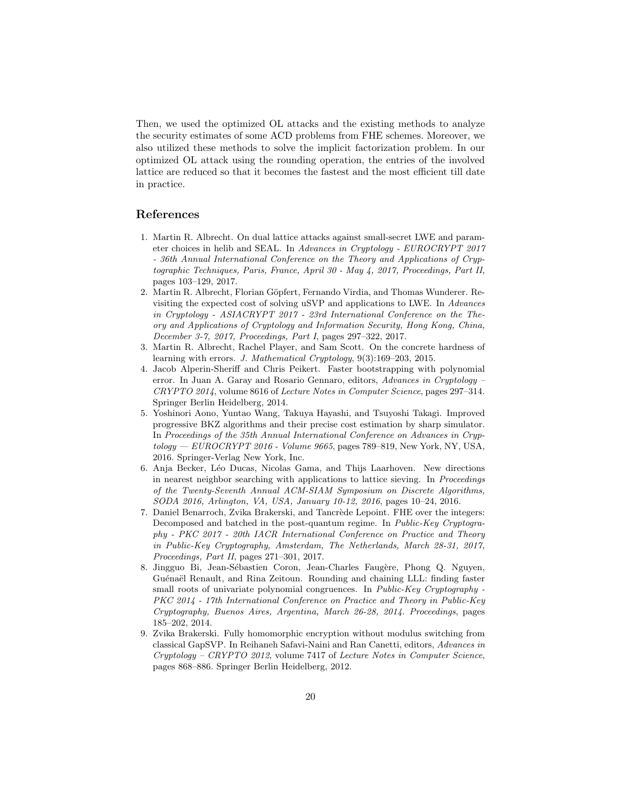Then, we used the optimized OL attacks and the existing methods to analyze the security estimates of some ACD problems from FHE schemes. Moreover, we also utilized these methods to solve the implicit factorization problem. In our optimized OL attack using the rounding operation, the entries of the involved lattice are reduced so that it becomes the fastest and the most efficient till date in practice.

# References

- 1. Martin R. Albrecht. On dual lattice attacks against small-secret LWE and parameter choices in helib and SEAL. In Advances in Cryptology - EUROCRYPT 2017 - 36th Annual International Conference on the Theory and Applications of Cryptographic Techniques, Paris, France, April 30 - May 4, 2017, Proceedings, Part II, pages 103–129, 2017.
- 2. Martin R. Albrecht, Florian Göpfert, Fernando Virdia, and Thomas Wunderer. Revisiting the expected cost of solving uSVP and applications to LWE. In Advances in Cryptology - ASIACRYPT 2017 - 23rd International Conference on the Theory and Applications of Cryptology and Information Security, Hong Kong, China, December 3-7, 2017, Proceedings, Part I, pages 297–322, 2017.
- 3. Martin R. Albrecht, Rachel Player, and Sam Scott. On the concrete hardness of learning with errors. J. Mathematical Cryptology, 9(3):169–203, 2015.
- 4. Jacob Alperin-Sheriff and Chris Peikert. Faster bootstrapping with polynomial error. In Juan A. Garay and Rosario Gennaro, editors, Advances in Cryptology – CRYPTO 2014, volume 8616 of Lecture Notes in Computer Science, pages 297–314. Springer Berlin Heidelberg, 2014.
- 5. Yoshinori Aono, Yuntao Wang, Takuya Hayashi, and Tsuyoshi Takagi. Improved progressive BKZ algorithms and their precise cost estimation by sharp simulator. In Proceedings of the 35th Annual International Conference on Advances in Cryp $tology - EUROCRYPT 2016 - Volume 9665$ , pages 789–819, New York, NY, USA, 2016. Springer-Verlag New York, Inc.
- 6. Anja Becker, L´eo Ducas, Nicolas Gama, and Thijs Laarhoven. New directions in nearest neighbor searching with applications to lattice sieving. In Proceedings of the Twenty-Seventh Annual ACM-SIAM Symposium on Discrete Algorithms, SODA 2016, Arlington, VA, USA, January 10-12, 2016, pages 10–24, 2016.
- 7. Daniel Benarroch, Zvika Brakerski, and Tancrède Lepoint. FHE over the integers: Decomposed and batched in the post-quantum regime. In *Public-Key Cryptogra*phy - PKC 2017 - 20th IACR International Conference on Practice and Theory in Public-Key Cryptography, Amsterdam, The Netherlands, March 28-31, 2017, Proceedings, Part II, pages 271–301, 2017.
- 8. Jingguo Bi, Jean-Sébastien Coron, Jean-Charles Faugère, Phong Q. Nguyen, Guénaël Renault, and Rina Zeitoun. Rounding and chaining LLL: finding faster small roots of univariate polynomial congruences. In Public-Key Cryptography -PKC 2014 - 17th International Conference on Practice and Theory in Public-Key Cryptography, Buenos Aires, Argentina, March 26-28, 2014. Proceedings, pages 185–202, 2014.
- 9. Zvika Brakerski. Fully homomorphic encryption without modulus switching from classical GapSVP. In Reihaneh Safavi-Naini and Ran Canetti, editors, Advances in  $Cryptology - CRYPTO 2012$ , volume 7417 of Lecture Notes in Computer Science, pages 868–886. Springer Berlin Heidelberg, 2012.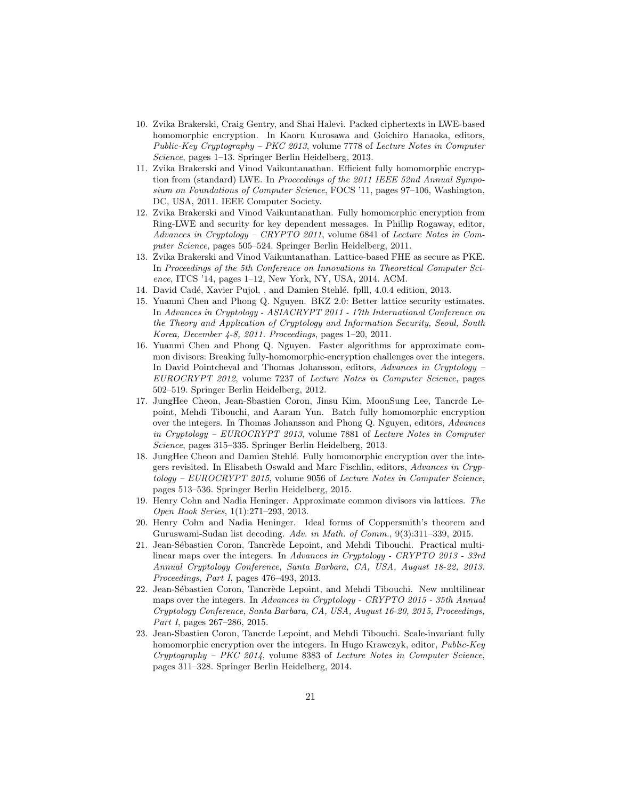- 10. Zvika Brakerski, Craig Gentry, and Shai Halevi. Packed ciphertexts in LWE-based homomorphic encryption. In Kaoru Kurosawa and Goichiro Hanaoka, editors, Public-Key Cryptography – PKC 2013, volume 7778 of Lecture Notes in Computer Science, pages 1–13. Springer Berlin Heidelberg, 2013.
- 11. Zvika Brakerski and Vinod Vaikuntanathan. Efficient fully homomorphic encryption from (standard) LWE. In Proceedings of the 2011 IEEE 52nd Annual Symposium on Foundations of Computer Science, FOCS '11, pages 97–106, Washington, DC, USA, 2011. IEEE Computer Society.
- 12. Zvika Brakerski and Vinod Vaikuntanathan. Fully homomorphic encryption from Ring-LWE and security for key dependent messages. In Phillip Rogaway, editor, Advances in Cryptology – CRYPTO 2011, volume 6841 of Lecture Notes in Computer Science, pages 505–524. Springer Berlin Heidelberg, 2011.
- 13. Zvika Brakerski and Vinod Vaikuntanathan. Lattice-based FHE as secure as PKE. In Proceedings of the 5th Conference on Innovations in Theoretical Computer Science, ITCS '14, pages 1–12, New York, NY, USA, 2014. ACM.
- 14. David Cadé, Xavier Pujol, , and Damien Stehlé. fplll, 4.0.4 edition, 2013.
- 15. Yuanmi Chen and Phong Q. Nguyen. BKZ 2.0: Better lattice security estimates. In Advances in Cryptology - ASIACRYPT 2011 - 17th International Conference on the Theory and Application of Cryptology and Information Security, Seoul, South Korea, December 4-8, 2011. Proceedings, pages 1–20, 2011.
- 16. Yuanmi Chen and Phong Q. Nguyen. Faster algorithms for approximate common divisors: Breaking fully-homomorphic-encryption challenges over the integers. In David Pointcheval and Thomas Johansson, editors, Advances in Cryptology – EUROCRYPT 2012, volume 7237 of Lecture Notes in Computer Science, pages 502–519. Springer Berlin Heidelberg, 2012.
- 17. JungHee Cheon, Jean-Sbastien Coron, Jinsu Kim, MoonSung Lee, Tancrde Lepoint, Mehdi Tibouchi, and Aaram Yun. Batch fully homomorphic encryption over the integers. In Thomas Johansson and Phong Q. Nguyen, editors, Advances in Cryptology – EUROCRYPT 2013, volume 7881 of Lecture Notes in Computer Science, pages 315–335. Springer Berlin Heidelberg, 2013.
- 18. JungHee Cheon and Damien Stehl´e. Fully homomorphic encryption over the integers revisited. In Elisabeth Oswald and Marc Fischlin, editors, Advances in Cryptology – EUROCRYPT 2015, volume 9056 of Lecture Notes in Computer Science, pages 513–536. Springer Berlin Heidelberg, 2015.
- 19. Henry Cohn and Nadia Heninger. Approximate common divisors via lattices. The Open Book Series, 1(1):271–293, 2013.
- 20. Henry Cohn and Nadia Heninger. Ideal forms of Coppersmith's theorem and Guruswami-Sudan list decoding. Adv. in Math. of Comm., 9(3):311–339, 2015.
- 21. Jean-Sébastien Coron, Tancrède Lepoint, and Mehdi Tibouchi. Practical multilinear maps over the integers. In Advances in Cryptology - CRYPTO 2013 - 33rd Annual Cryptology Conference, Santa Barbara, CA, USA, August 18-22, 2013. Proceedings, Part I, pages 476–493, 2013.
- 22. Jean-Sébastien Coron, Tancrède Lepoint, and Mehdi Tibouchi. New multilinear maps over the integers. In Advances in Cryptology - CRYPTO 2015 - 35th Annual Cryptology Conference, Santa Barbara, CA, USA, August 16-20, 2015, Proceedings, Part I, pages 267–286, 2015.
- 23. Jean-Sbastien Coron, Tancrde Lepoint, and Mehdi Tibouchi. Scale-invariant fully homomorphic encryption over the integers. In Hugo Krawczyk, editor, Public-Key  $Cryptography - PKC 2014$ , volume 8383 of *Lecture Notes in Computer Science*, pages 311–328. Springer Berlin Heidelberg, 2014.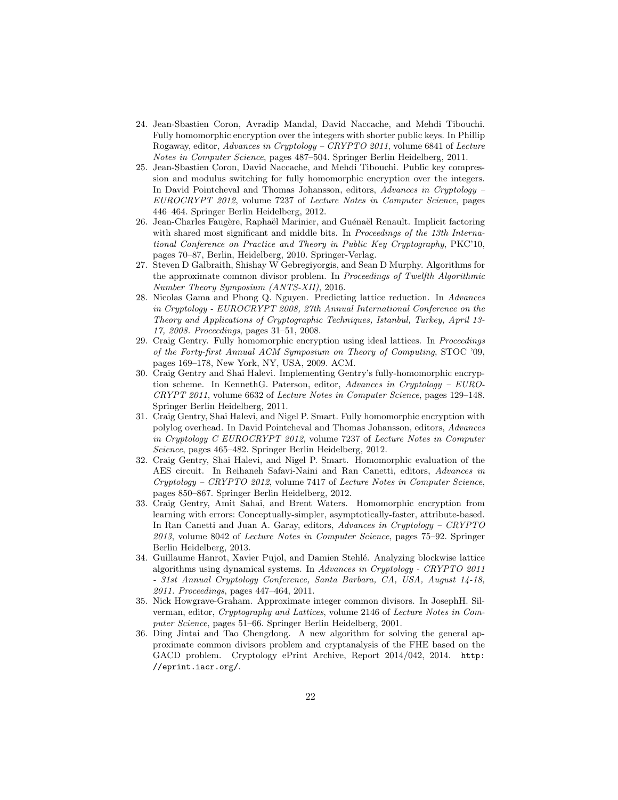- 24. Jean-Sbastien Coron, Avradip Mandal, David Naccache, and Mehdi Tibouchi. Fully homomorphic encryption over the integers with shorter public keys. In Phillip Rogaway, editor, Advances in Cryptology – CRYPTO 2011, volume 6841 of Lecture Notes in Computer Science, pages 487–504. Springer Berlin Heidelberg, 2011.
- 25. Jean-Sbastien Coron, David Naccache, and Mehdi Tibouchi. Public key compression and modulus switching for fully homomorphic encryption over the integers. In David Pointcheval and Thomas Johansson, editors, Advances in Cryptology – EUROCRYPT 2012, volume 7237 of Lecture Notes in Computer Science, pages 446–464. Springer Berlin Heidelberg, 2012.
- 26. Jean-Charles Faugère, Raphaël Marinier, and Guénaël Renault. Implicit factoring with shared most significant and middle bits. In Proceedings of the 13th International Conference on Practice and Theory in Public Key Cryptography, PKC'10, pages 70–87, Berlin, Heidelberg, 2010. Springer-Verlag.
- 27. Steven D Galbraith, Shishay W Gebregiyorgis, and Sean D Murphy. Algorithms for the approximate common divisor problem. In Proceedings of Twelfth Algorithmic Number Theory Symposium (ANTS-XII), 2016.
- 28. Nicolas Gama and Phong Q. Nguyen. Predicting lattice reduction. In Advances in Cryptology - EUROCRYPT 2008, 27th Annual International Conference on the Theory and Applications of Cryptographic Techniques, Istanbul, Turkey, April 13- 17, 2008. Proceedings, pages 31–51, 2008.
- 29. Craig Gentry. Fully homomorphic encryption using ideal lattices. In Proceedings of the Forty-first Annual ACM Symposium on Theory of Computing, STOC '09, pages 169–178, New York, NY, USA, 2009. ACM.
- 30. Craig Gentry and Shai Halevi. Implementing Gentry's fully-homomorphic encryption scheme. In KennethG. Paterson, editor, Advances in Cryptology – EURO-CRYPT 2011, volume 6632 of Lecture Notes in Computer Science, pages 129–148. Springer Berlin Heidelberg, 2011.
- 31. Craig Gentry, Shai Halevi, and Nigel P. Smart. Fully homomorphic encryption with polylog overhead. In David Pointcheval and Thomas Johansson, editors, Advances in Cryptology C EUROCRYPT 2012, volume 7237 of Lecture Notes in Computer Science, pages 465–482. Springer Berlin Heidelberg, 2012.
- 32. Craig Gentry, Shai Halevi, and Nigel P. Smart. Homomorphic evaluation of the AES circuit. In Reihaneh Safavi-Naini and Ran Canetti, editors, Advances in  $Cryptology - CRYPTO 2012$ , volume 7417 of Lecture Notes in Computer Science, pages 850–867. Springer Berlin Heidelberg, 2012.
- 33. Craig Gentry, Amit Sahai, and Brent Waters. Homomorphic encryption from learning with errors: Conceptually-simpler, asymptotically-faster, attribute-based. In Ran Canetti and Juan A. Garay, editors, Advances in Cryptology – CRYPTO 2013, volume 8042 of Lecture Notes in Computer Science, pages 75–92. Springer Berlin Heidelberg, 2013.
- 34. Guillaume Hanrot, Xavier Pujol, and Damien Stehlé. Analyzing blockwise lattice algorithms using dynamical systems. In Advances in Cryptology - CRYPTO 2011 - 31st Annual Cryptology Conference, Santa Barbara, CA, USA, August 14-18, 2011. Proceedings, pages 447–464, 2011.
- 35. Nick Howgrave-Graham. Approximate integer common divisors. In JosephH. Silverman, editor, Cryptography and Lattices, volume 2146 of Lecture Notes in Computer Science, pages 51–66. Springer Berlin Heidelberg, 2001.
- 36. Ding Jintai and Tao Chengdong. A new algorithm for solving the general approximate common divisors problem and cryptanalysis of the FHE based on the GACD problem. Cryptology ePrint Archive, Report 2014/042, 2014. http: //eprint.iacr.org/.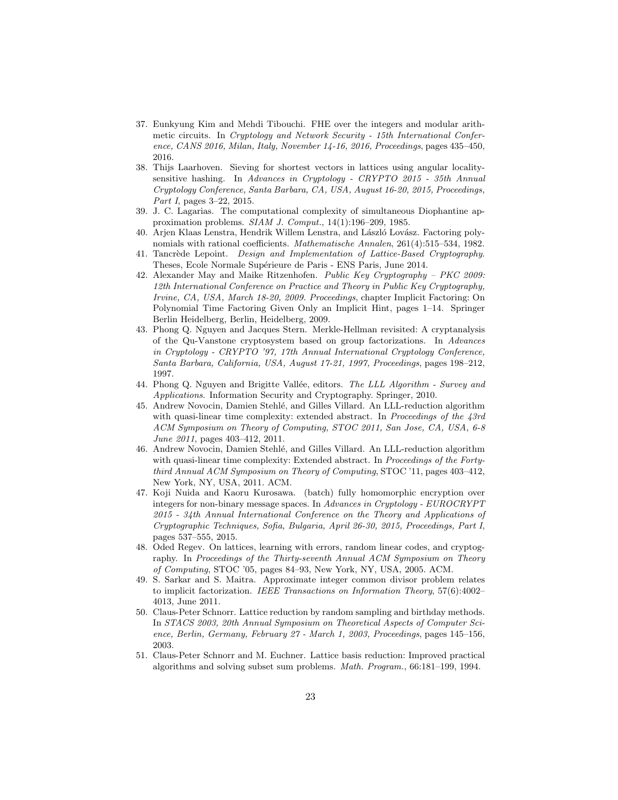- 37. Eunkyung Kim and Mehdi Tibouchi. FHE over the integers and modular arithmetic circuits. In Cryptology and Network Security - 15th International Conference, CANS 2016, Milan, Italy, November 14-16, 2016, Proceedings, pages 435–450, 2016.
- 38. Thijs Laarhoven. Sieving for shortest vectors in lattices using angular localitysensitive hashing. In Advances in Cryptology - CRYPTO 2015 - 35th Annual Cryptology Conference, Santa Barbara, CA, USA, August 16-20, 2015, Proceedings, Part I, pages 3-22, 2015.
- 39. J. C. Lagarias. The computational complexity of simultaneous Diophantine approximation problems. SIAM J. Comput., 14(1):196–209, 1985.
- 40. Arjen Klaas Lenstra, Hendrik Willem Lenstra, and László Lovász. Factoring polynomials with rational coefficients. Mathematische Annalen, 261(4):515–534, 1982.
- 41. Tancrède Lepoint. Design and Implementation of Lattice-Based Cryptography. Theses, Ecole Normale Supérieure de Paris - ENS Paris, June 2014.
- 42. Alexander May and Maike Ritzenhofen. Public Key Cryptography PKC 2009: 12th International Conference on Practice and Theory in Public Key Cryptography, Irvine, CA, USA, March 18-20, 2009. Proceedings, chapter Implicit Factoring: On Polynomial Time Factoring Given Only an Implicit Hint, pages 1–14. Springer Berlin Heidelberg, Berlin, Heidelberg, 2009.
- 43. Phong Q. Nguyen and Jacques Stern. Merkle-Hellman revisited: A cryptanalysis of the Qu-Vanstone cryptosystem based on group factorizations. In Advances in Cryptology - CRYPTO '97, 17th Annual International Cryptology Conference, Santa Barbara, California, USA, August 17-21, 1997, Proceedings, pages 198–212, 1997.
- 44. Phong Q. Nguyen and Brigitte Vallée, editors. The LLL Algorithm Survey and Applications. Information Security and Cryptography. Springer, 2010.
- 45. Andrew Novocin, Damien Stehl´e, and Gilles Villard. An LLL-reduction algorithm with quasi-linear time complexity: extended abstract. In Proceedings of the 43rd ACM Symposium on Theory of Computing, STOC 2011, San Jose, CA, USA, 6-8 June 2011, pages 403–412, 2011.
- 46. Andrew Novocin, Damien Stehlé, and Gilles Villard. An LLL-reduction algorithm with quasi-linear time complexity: Extended abstract. In Proceedings of the Fortythird Annual ACM Symposium on Theory of Computing, STOC '11, pages 403–412, New York, NY, USA, 2011. ACM.
- 47. Koji Nuida and Kaoru Kurosawa. (batch) fully homomorphic encryption over integers for non-binary message spaces. In Advances in Cryptology - EUROCRYPT 2015 - 34th Annual International Conference on the Theory and Applications of Cryptographic Techniques, Sofia, Bulgaria, April 26-30, 2015, Proceedings, Part I, pages 537–555, 2015.
- 48. Oded Regev. On lattices, learning with errors, random linear codes, and cryptography. In Proceedings of the Thirty-seventh Annual ACM Symposium on Theory of Computing, STOC '05, pages 84–93, New York, NY, USA, 2005. ACM.
- 49. S. Sarkar and S. Maitra. Approximate integer common divisor problem relates to implicit factorization. IEEE Transactions on Information Theory, 57(6):4002– 4013, June 2011.
- 50. Claus-Peter Schnorr. Lattice reduction by random sampling and birthday methods. In STACS 2003, 20th Annual Symposium on Theoretical Aspects of Computer Science, Berlin, Germany, February 27 - March 1, 2003, Proceedings, pages 145–156, 2003.
- 51. Claus-Peter Schnorr and M. Euchner. Lattice basis reduction: Improved practical algorithms and solving subset sum problems. Math. Program., 66:181–199, 1994.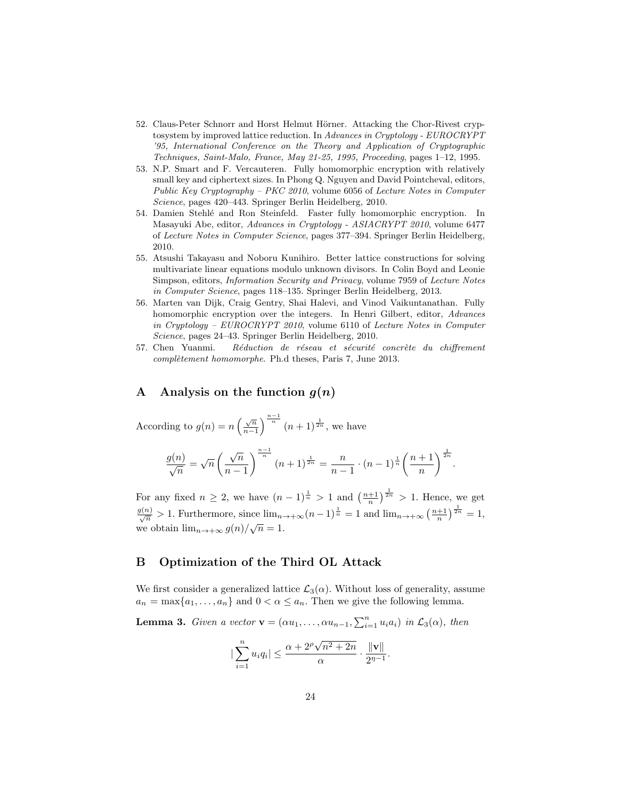- 52. Claus-Peter Schnorr and Horst Helmut Hörner. Attacking the Chor-Rivest cryptosystem by improved lattice reduction. In Advances in Cryptology - EUROCRYPT '95, International Conference on the Theory and Application of Cryptographic Techniques, Saint-Malo, France, May 21-25, 1995, Proceeding, pages 1–12, 1995.
- 53. N.P. Smart and F. Vercauteren. Fully homomorphic encryption with relatively small key and ciphertext sizes. In Phong Q. Nguyen and David Pointcheval, editors, Public Key Cryptography – PKC 2010, volume 6056 of Lecture Notes in Computer Science, pages 420–443. Springer Berlin Heidelberg, 2010.
- 54. Damien Stehl´e and Ron Steinfeld. Faster fully homomorphic encryption. In Masayuki Abe, editor, Advances in Cryptology - ASIACRYPT 2010, volume 6477 of Lecture Notes in Computer Science, pages 377–394. Springer Berlin Heidelberg, 2010.
- 55. Atsushi Takayasu and Noboru Kunihiro. Better lattice constructions for solving multivariate linear equations modulo unknown divisors. In Colin Boyd and Leonie Simpson, editors, Information Security and Privacy, volume 7959 of Lecture Notes in Computer Science, pages 118–135. Springer Berlin Heidelberg, 2013.
- 56. Marten van Dijk, Craig Gentry, Shai Halevi, and Vinod Vaikuntanathan. Fully homomorphic encryption over the integers. In Henri Gilbert, editor, Advances in Cryptology – EUROCRYPT 2010, volume 6110 of Lecture Notes in Computer Science, pages 24–43. Springer Berlin Heidelberg, 2010.
- 57. Chen Yuanmi. Réduction de réseau et sécurité concrète du chiffrement complètement homomorphe. Ph.d theses, Paris 7, June 2013.

## A Analysis on the function  $g(n)$

According to  $g(n) = n \left( \frac{\sqrt{n}}{n-1} \right)$  $\frac{\sqrt{n}}{n-1}$   $\left(n+1\right)^{\frac{1}{2n}}$ , we have

$$
\frac{g(n)}{\sqrt{n}} = \sqrt{n} \left( \frac{\sqrt{n}}{n-1} \right)^{\frac{n-1}{n}} (n+1)^{\frac{1}{2n}} = \frac{n}{n-1} \cdot (n-1)^{\frac{1}{n}} \left( \frac{n+1}{n} \right)^{\frac{1}{2n}}.
$$

For any fixed  $n \geq 2$ , we have  $(n-1)^{\frac{1}{n}} > 1$  and  $\left(\frac{n+1}{n}\right)^{\frac{1}{2n}} > 1$ . Hence, we get  $\frac{g(n)}{\sqrt{n}} > 1$ . Furthermore, since  $\lim_{n \to +\infty} (n-1)^{\frac{1}{n}} = 1$  and  $\lim_{n \to +\infty} (\frac{n+1}{n})^{\frac{1}{2n}} = 1$ ,  $\sqrt{n}$  we obtain  $\lim_{n\to+\infty} g(n)/\sqrt{n} = 1$ .

# B Optimization of the Third OL Attack

We first consider a generalized lattice  $\mathcal{L}_3(\alpha)$ . Without loss of generality, assume  $a_n = \max\{a_1, \ldots, a_n\}$  and  $0 < \alpha \le a_n$ . Then we give the following lemma.

**Lemma 3.** Given a vector  $\mathbf{v} = (\alpha u_1, \dots, \alpha u_{n-1}, \sum_{i=1}^n u_i a_i)$  in  $\mathcal{L}_3(\alpha)$ , then

$$
|\sum_{i=1}^{n} u_i q_i| \le \frac{\alpha + 2^{\rho} \sqrt{n^2 + 2n}}{\alpha} \cdot \frac{\|\mathbf{v}\|}{2^{\eta - 1}}.
$$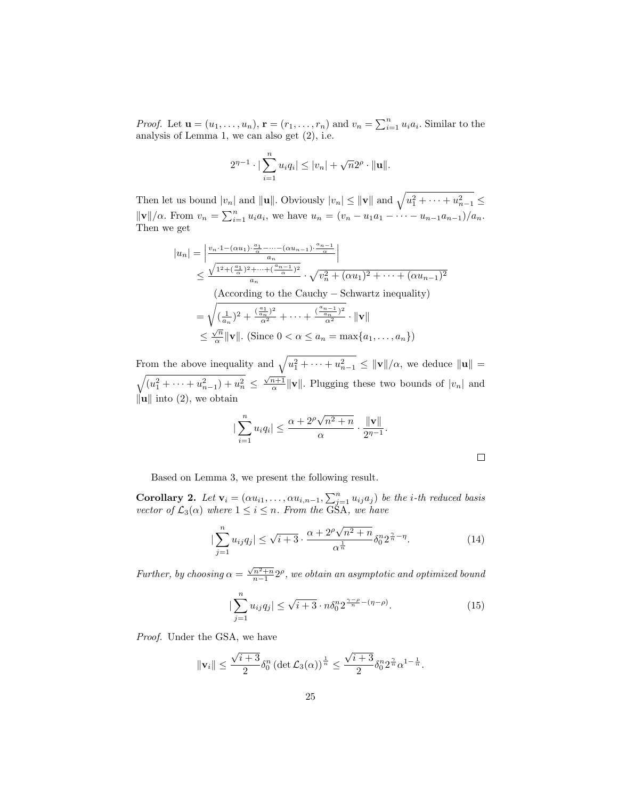*Proof.* Let  $\mathbf{u} = (u_1, \ldots, u_n)$ ,  $\mathbf{r} = (r_1, \ldots, r_n)$  and  $v_n = \sum_{i=1}^n u_i a_i$ . Similar to the analysis of Lemma 1, we can also get (2), i.e.

$$
2^{\eta-1} \cdot |\sum_{i=1}^n u_i q_i| \le |v_n| + \sqrt{n} 2^{\rho} \cdot ||\mathbf{u}||.
$$

Then let us bound  $|v_n|$  and  $||\mathbf{u}||$ . Obviously  $|v_n| \le ||\mathbf{v}||$  and  $\sqrt{u_1^2 + \cdots + u_{n-1}^2} \le$  $\|\mathbf{v}\|/\alpha$ . From  $v_n = \sum_{i=1}^n u_i a_i$ , we have  $u_n = (v_n - u_1 a_1 - \cdots - u_{n-1} a_{n-1})/a_n$ . Then we get

$$
|u_n| = \left| \frac{v_n \cdot 1 - (\alpha u_1) \cdot \frac{a_1}{\alpha} - \dots - (\alpha u_{n-1}) \cdot \frac{a_n - 1}{\alpha}}{a_n} \right|
$$
  
\n
$$
\leq \frac{\sqrt{1^2 + (\frac{a_1}{\alpha})^2 + \dots + (\frac{a_{n-1}}{\alpha})^2}}{a_n} \cdot \sqrt{v_n^2 + (\alpha u_1)^2 + \dots + (\alpha u_{n-1})^2}
$$
  
\n(According to the Cauchy - Schwartz inequality)  
\n
$$
= \sqrt{(\frac{1}{a_n})^2 + \frac{(\frac{a_1}{a_n})^2}{\alpha^2} + \dots + \frac{(\frac{a_{n-1}}{\alpha})^2}{\alpha^2}} \cdot ||\mathbf{v}||
$$
  
\n
$$
\leq \frac{\sqrt{n}}{\alpha} ||\mathbf{v}||. \text{ (Since } 0 < \alpha \leq a_n = \max\{a_1, \dots, a_n\})
$$

From the above inequality and  $\sqrt{u_1^2 + \cdots + u_{n-1}^2} \le ||\mathbf{v}||/\alpha$ , we deduce  $||\mathbf{u}|| =$  $\sqrt{(u_1^2 + \cdots + u_{n-1}^2) + u_n^2} \leq \frac{\sqrt{n+1}}{\alpha} ||\mathbf{v}||$ . Plugging these two bounds of  $|v_n|$  and  $\|\mathbf{u}\|$  into (2), we obtain

$$
\left|\sum_{i=1}^n u_i q_i\right| \le \frac{\alpha + 2^{\rho}\sqrt{n^2 + n}}{\alpha} \cdot \frac{\|\mathbf{v}\|}{2^{\eta-1}}.
$$

Based on Lemma 3, we present the following result.

**Corollary 2.** Let  $\mathbf{v}_i = (\alpha u_{i1}, \dots, \alpha u_{i,n-1}, \sum_{j=1}^n u_{ij} a_j)$  be the *i*-th reduced basis vector of  $\mathcal{L}_3(\alpha)$  where  $1 \leq i \leq n$ . From the GSA, we have

$$
|\sum_{j=1}^{n} u_{ij} q_j| \le \sqrt{i+3} \cdot \frac{\alpha + 2^{\rho} \sqrt{n^2 + n}}{\alpha^{\frac{1}{n}}} \delta_0^n 2^{\frac{\gamma}{n} - \eta}.
$$
 (14)

Further, by choosing  $\alpha = \frac{\sqrt{n^2+n}}{n-1} 2^{\rho}$ , we obtain an asymptotic and optimized bound

$$
|\sum_{j=1}^{n} u_{ij} q_j| \le \sqrt{i+3} \cdot n \delta_0^n 2^{\frac{\gamma-\rho}{n} - (\eta-\rho)}.
$$
 (15)

Proof. Under the GSA, we have

$$
\|\mathbf{v}_i\| \leq \frac{\sqrt{i+3}}{2} \delta_0^n \left(\det \mathcal{L}_3(\alpha)\right)^{\frac{1}{n}} \leq \frac{\sqrt{i+3}}{2} \delta_0^n 2^{\frac{\gamma}{n}} \alpha^{1-\frac{1}{n}}.
$$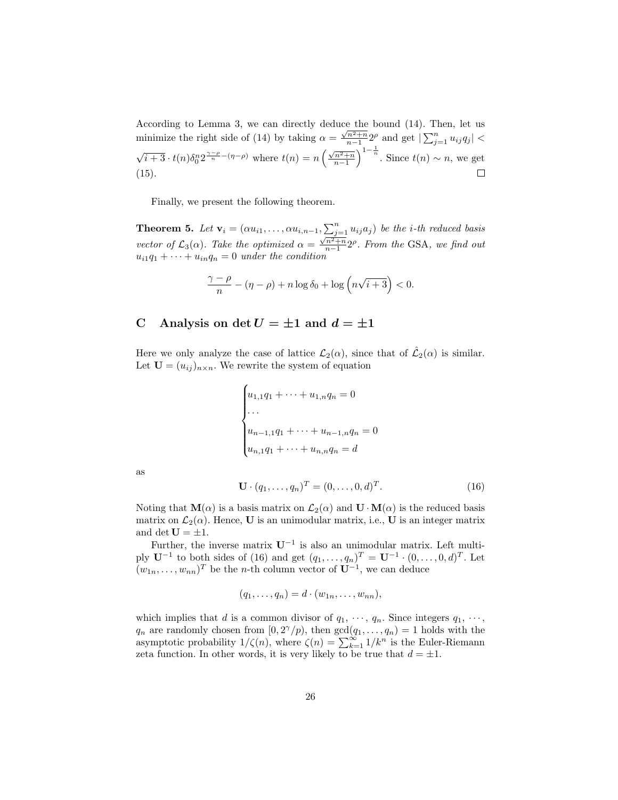According to Lemma 3, we can directly deduce the bound  $(14)$ . Then, let us minimize the right side of (14) by taking  $\alpha = \frac{\sqrt{n^2+n}}{n-1} 2^{\rho}$  and get  $\left| \sum_{j=1}^{n} u_{ij} q_j \right|$  <  $\sqrt{i+3} \cdot t(n) \delta_0^n 2^{\frac{\gamma-\rho}{n}-(\eta-\rho)}$  where  $t(n) = n \left(\frac{\sqrt{n^2+n}}{n-1}\right)^{1-\frac{1}{n}}$ . Since  $t(n) \sim n$ , we get (15).  $\Box$ 

Finally, we present the following theorem.

**Theorem 5.** Let  $\mathbf{v}_i = (\alpha u_{i1}, \dots, \alpha u_{i,n-1}, \sum_{j=1}^n u_{ij}a_j)$  be the *i*-th reduced basis vector of  $\mathcal{L}_3(\alpha)$ . Take the optimized  $\alpha = \frac{\sqrt{n^2+n}}{n-1}2^{\rho}$ . From the GSA, we find out  $u_{i1}q_1 + \cdots + u_{in}q_n = 0$  under the condition

$$
\frac{\gamma-\rho}{n} - (\eta-\rho) + n\log \delta_0 + \log \left(n\sqrt{i+3}\right) < 0.
$$

# C Analysis on det  $U = \pm 1$  and  $d = \pm 1$

Here we only analyze the case of lattice  $\mathcal{L}_2(\alpha)$ , since that of  $\hat{\mathcal{L}}_2(\alpha)$  is similar. Let  $\mathbf{U} = (u_{ij})_{n \times n}$ . We rewrite the system of equation

$$
\begin{cases} u_{1,1}q_1 + \dots + u_{1,n}q_n = 0 \\ \dots \\ u_{n-1,1}q_1 + \dots + u_{n-1,n}q_n = 0 \\ u_{n,1}q_1 + \dots + u_{n,n}q_n = d \end{cases}
$$

as

$$
\mathbf{U} \cdot (q_1, \dots, q_n)^T = (0, \dots, 0, d)^T. \tag{16}
$$

Noting that  $\mathbf{M}(\alpha)$  is a basis matrix on  $\mathcal{L}_2(\alpha)$  and  $\mathbf{U} \cdot \mathbf{M}(\alpha)$  is the reduced basis matrix on  $\mathcal{L}_2(\alpha)$ . Hence, **U** is an unimodular matrix, i.e., **U** is an integer matrix and det  $U = \pm 1$ .

Further, the inverse matrix  $U^{-1}$  is also an unimodular matrix. Left multiply  $U^{-1}$  to both sides of (16) and get  $(q_1, ..., q_n)^T = U^{-1} \cdot (0, ..., 0, d)^T$ . Let  $(w_{1n}, \ldots, w_{nn})^T$  be the *n*-th column vector of  $\mathbf{U}^{-1}$ , we can deduce

$$
(q_1,\ldots,q_n)=d\cdot(w_{1n},\ldots,w_{nn}),
$$

which implies that d is a common divisor of  $q_1, \dots, q_n$ . Since integers  $q_1, \dots, q_n$  $q_n$  are randomly chosen from  $[0, 2^{\gamma}/p)$ , then  $gcd(q_1, \ldots, q_n) = 1$  holds with the asymptotic probability  $1/\zeta(n)$ , where  $\zeta(n) = \sum_{k=1}^{\infty} 1/k^n$  is the Euler-Riemann zeta function. In other words, it is very likely to be true that  $d = \pm 1$ .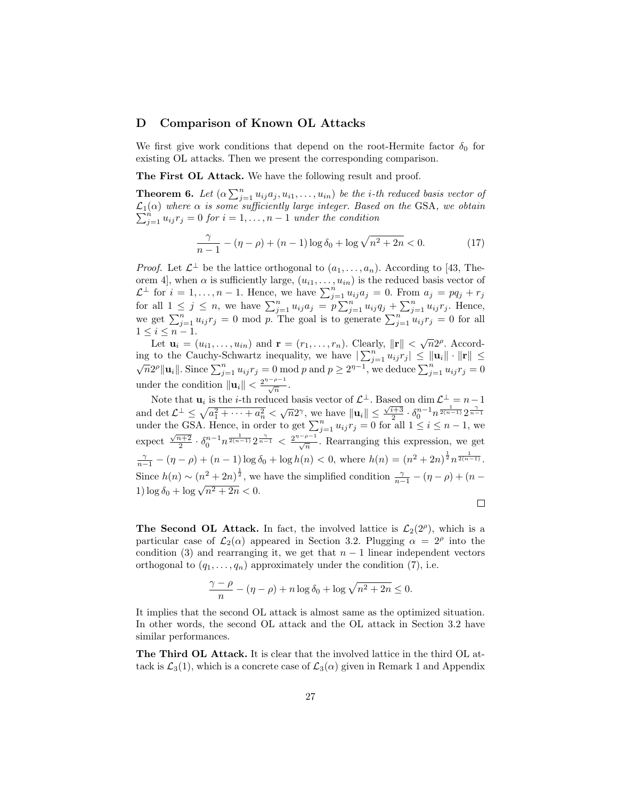## D Comparison of Known OL Attacks

We first give work conditions that depend on the root-Hermite factor  $\delta_0$  for existing OL attacks. Then we present the corresponding comparison.

The First OL Attack. We have the following result and proof.

**Theorem 6.** Let  $(\alpha \sum_{j=1}^n u_{ij}a_j, u_{i1}, \ldots, u_{in})$  be the *i*-th reduced basis vector of  $\mathcal{L}_1(\alpha)$  where  $\alpha$  is some sufficiently large integer. Based on the GSA, we obtain  $\sum_{j=1}^{n} u_{ij} r_j = 0$  for  $i = 1, \ldots, n-1$  under the condition

$$
\frac{\gamma}{n-1} - (\eta - \rho) + (n-1)\log \delta_0 + \log \sqrt{n^2 + 2n} < 0. \tag{17}
$$

*Proof.* Let  $\mathcal{L}^{\perp}$  be the lattice orthogonal to  $(a_1, \ldots, a_n)$ . According to [43, Theorem 4, when  $\alpha$  is sufficiently large,  $(u_{i1}, \ldots, u_{in})$  is the reduced basis vector of  $\mathcal{L}^{\perp}$  for  $i = 1, ..., n - 1$ . Hence, we have  $\sum_{j=1}^{n} u_{ij} a_j = 0$ . From  $a_j = pq_j + r_j$ for all  $1 \leq j \leq n$ , we have  $\sum_{j=1}^n u_{ij}a_j = p \sum_{j=1}^n u_{ij}a_j + \sum_{j=1}^n u_{ij}r_j$ . Hence, we get  $\sum_{j=1}^n u_{ij} r_j = 0$  mod p. The goal is to generate  $\sum_{j=1}^n u_{ij} r_j = 0$  for all  $1 \leq i \leq n-1$ .

Let  $\mathbf{u}_i = (u_{i1}, \dots, u_{in})$  and  $\mathbf{r} = (r_1, \dots, r_n)$ . Clearly,  $\|\mathbf{r}\| < \sqrt{n}2^{\rho}$ . According to the Cauchy-Schwartz inequality, we have  $|\sum_{j=1}^{n} u_{ij} r_j| \le ||\mathbf{u}_i|| \cdot ||\mathbf{r}|| \le \sqrt{n} 2^{\rho} ||\mathbf{u}_i||$ . Since  $\sum_{j=1}^{n} u_{ij} r_j = 0$  mod p and  $p \ge 2^{\eta-1}$ , we deduce  $\sum_{j=1}^{n} u_{ij} r_j = 0$ under the condition  $\|\mathbf{u}_i\| < \frac{2^{\eta-\rho-1}}{\sqrt{n}}$ .

Note that  $\mathbf{u}_i$  is the *i*-th reduced basis vector of  $\mathcal{L}^{\perp}$ . Based on dim  $\mathcal{L}^{\perp} = n - 1$ and det  $\mathcal{L}^{\perp} \leq \sqrt{a_1^2 + \cdots + a_n^2} < \sqrt{n}2^{\gamma}$ , we have  $||\mathbf{u}_i|| \leq \frac{\sqrt{i+3}}{2} \cdot \delta_0^{n-1} n^{\frac{1}{2(n-1)}} 2^{\frac{\gamma}{n-1}}$ <br>under the GSA. Hence, in order to get  $\sum_{j=1}^n u_{ij} r_j = 0$  for all  $1 \leq i \leq n-1$ , we expect  $\frac{\sqrt{n+2}}{2} \cdot \delta_0^{n-1} n^{\frac{1}{2(n-1)}} 2^{\frac{\gamma}{n-1}} < \frac{2^{\gamma-\rho-1}}{\sqrt{n}}$ . Rearranging this expression, we get  $\frac{\gamma}{n-1} - (\eta - \rho) + (n-1) \log \delta_0 + \log h(n) < 0$ , where  $h(n) = (n^2 + 2n)^{\frac{1}{2}} n^{\frac{1}{2(n-1)}}$ . Since  $h(n) \sim (n^2 + 2n)^{\frac{1}{2}}$ , we have the simplified condition  $\frac{\gamma}{n-1} - (\eta - \rho) + (n - \rho)$ 1)  $\log \delta_0 + \log \sqrt{n^2 + 2n} < 0$ .

 $\Box$ 

The Second OL Attack. In fact, the involved lattice is  $\mathcal{L}_2(2^{\rho})$ , which is a particular case of  $\mathcal{L}_2(\alpha)$  appeared in Section 3.2. Plugging  $\alpha = 2^{\rho}$  into the condition (3) and rearranging it, we get that  $n-1$  linear independent vectors orthogonal to  $(q_1, \ldots, q_n)$  approximately under the condition (7), i.e.

$$
\frac{\gamma - \rho}{n} - (\eta - \rho) + n \log \delta_0 + \log \sqrt{n^2 + 2n} \le 0.
$$

It implies that the second OL attack is almost same as the optimized situation. In other words, the second OL attack and the OL attack in Section 3.2 have similar performances.

The Third OL Attack. It is clear that the involved lattice in the third OL attack is  $\mathcal{L}_3(1)$ , which is a concrete case of  $\mathcal{L}_3(\alpha)$  given in Remark 1 and Appendix